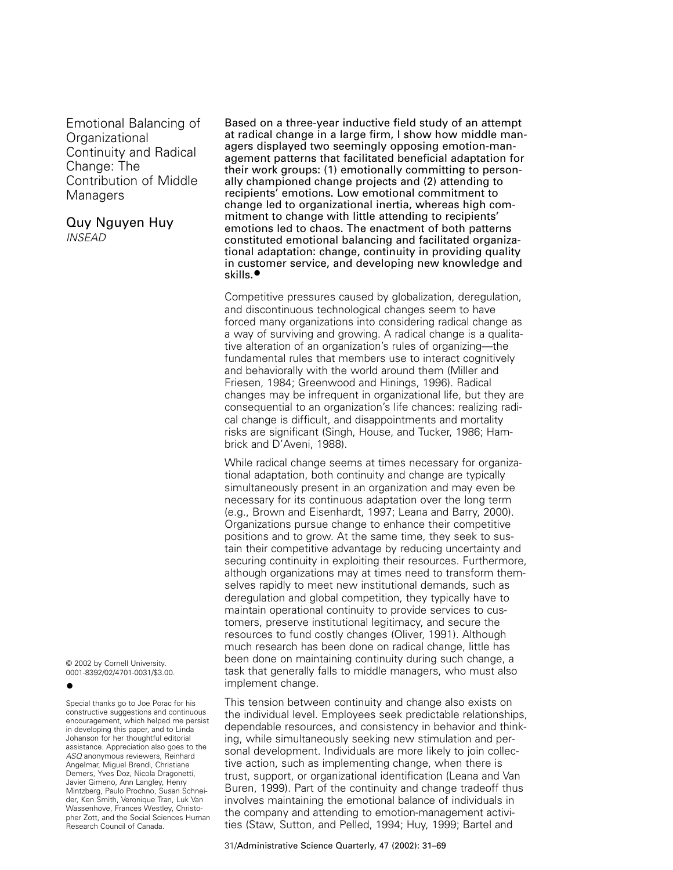Emotional Balancing of Organizational Continuity and Radical Change: The Contribution of Middle **Managers** 

Quy Nguyen Huy INSEAD

© 2002 by Cornell University. 0001-8392/02/4701-0031/\$3.00. **•**

Special thanks go to Joe Porac for his constructive suggestions and continuous encouragement, which helped me persist in developing this paper, and to Linda Johanson for her thoughtful editorial assistance. Appreciation also goes to the ASQ anonymous reviewers, Reinhard Angelmar, Miguel Brendl, Christiane Demers, Yves Doz, Nicola Dragonetti, Javier Gimeno, Ann Langley, Henry Mintzberg, Paulo Prochno, Susan Schneider, Ken Smith, Veronique Tran, Luk Van Wassenhove, Frances Westley, Christopher Zott, and the Social Sciences Human Research Council of Canada.

Based on a three-year inductive field study of an attempt at radical change in a large firm, I show how middle managers displayed two seemingly opposing emotion-management patterns that facilitated beneficial adaptation for their work groups: (1) emotionally committing to personally championed change projects and (2) attending to recipients' emotions. Low emotional commitment to change led to organizational inertia, whereas high commitment to change with little attending to recipients' emotions led to chaos. The enactment of both patterns constituted emotional balancing and facilitated organizational adaptation: change, continuity in providing quality in customer service, and developing new knowledge and skills.**•**

Competitive pressures caused by globalization, deregulation, and discontinuous technological changes seem to have forced many organizations into considering radical change as a way of surviving and growing. A radical change is a qualitative alteration of an organization's rules of organizing—the fundamental rules that members use to interact cognitively and behaviorally with the world around them (Miller and Friesen, 1984; Greenwood and Hinings, 1996). Radical changes may be infrequent in organizational life, but they are consequential to an organization's life chances: realizing radical change is difficult, and disappointments and mortality risks are significant (Singh, House, and Tucker, 1986; Hambrick and D'Aveni, 1988).

While radical change seems at times necessary for organizational adaptation, both continuity and change are typically simultaneously present in an organization and may even be necessary for its continuous adaptation over the long term (e.g., Brown and Eisenhardt, 1997; Leana and Barry, 2000). Organizations pursue change to enhance their competitive positions and to grow. At the same time, they seek to sustain their competitive advantage by reducing uncertainty and securing continuity in exploiting their resources. Furthermore, although organizations may at times need to transform themselves rapidly to meet new institutional demands, such as deregulation and global competition, they typically have to maintain operational continuity to provide services to customers, preserve institutional legitimacy, and secure the resources to fund costly changes (Oliver, 1991). Although much research has been done on radical change, little has been done on maintaining continuity during such change, a task that generally falls to middle managers, who must also implement change.

This tension between continuity and change also exists on the individual level. Employees seek predictable relationships, dependable resources, and consistency in behavior and thinking, while simultaneously seeking new stimulation and personal development. Individuals are more likely to join collective action, such as implementing change, when there is trust, support, or organizational identification (Leana and Van Buren, 1999). Part of the continuity and change tradeoff thus involves maintaining the emotional balance of individuals in the company and attending to emotion-management activities (Staw, Sutton, and Pelled, 1994; Huy, 1999; Bartel and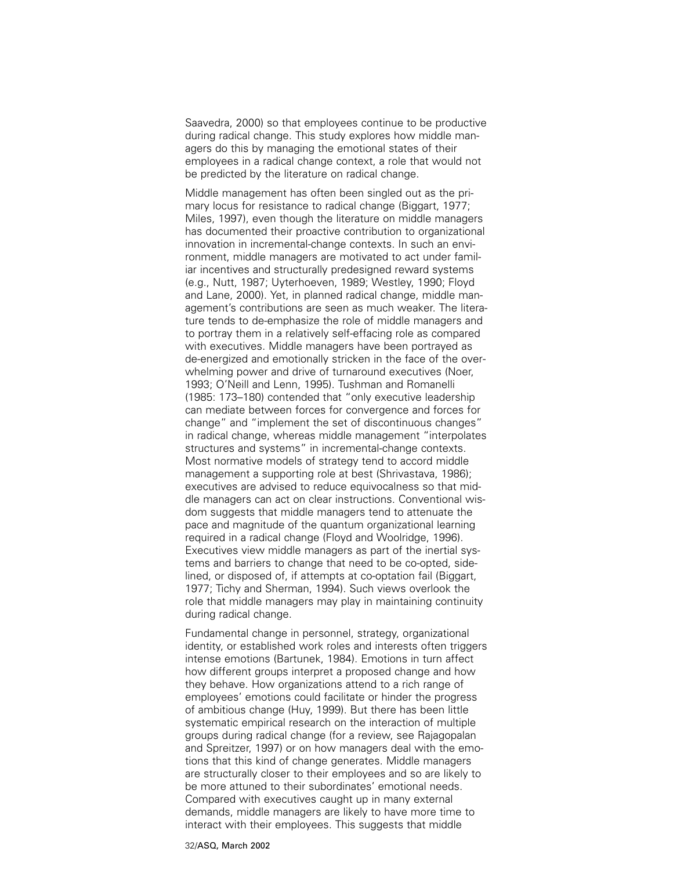Saavedra, 2000) so that employees continue to be productive during radical change. This study explores how middle managers do this by managing the emotional states of their employees in a radical change context, a role that would not be predicted by the literature on radical change.

Middle management has often been singled out as the primary locus for resistance to radical change (Biggart, 1977; Miles, 1997), even though the literature on middle managers has documented their proactive contribution to organizational innovation in incremental-change contexts. In such an environment, middle managers are motivated to act under familiar incentives and structurally predesigned reward systems (e.g., Nutt, 1987; Uyterhoeven, 1989; Westley, 1990; Floyd and Lane, 2000). Yet, in planned radical change, middle management's contributions are seen as much weaker. The literature tends to de-emphasize the role of middle managers and to portray them in a relatively self-effacing role as compared with executives. Middle managers have been portrayed as de-energized and emotionally stricken in the face of the overwhelming power and drive of turnaround executives (Noer, 1993; O'Neill and Lenn, 1995). Tushman and Romanelli (1985: 173–180) contended that "only executive leadership can mediate between forces for convergence and forces for change" and "implement the set of discontinuous changes" in radical change, whereas middle management "interpolates structures and systems" in incremental-change contexts. Most normative models of strategy tend to accord middle management a supporting role at best (Shrivastava, 1986); executives are advised to reduce equivocalness so that middle managers can act on clear instructions. Conventional wisdom suggests that middle managers tend to attenuate the pace and magnitude of the quantum organizational learning required in a radical change (Floyd and Woolridge, 1996). Executives view middle managers as part of the inertial systems and barriers to change that need to be co-opted, sidelined, or disposed of, if attempts at co-optation fail (Biggart, 1977; Tichy and Sherman, 1994). Such views overlook the role that middle managers may play in maintaining continuity during radical change.

Fundamental change in personnel, strategy, organizational identity, or established work roles and interests often triggers intense emotions (Bartunek, 1984). Emotions in turn affect how different groups interpret a proposed change and how they behave. How organizations attend to a rich range of employees' emotions could facilitate or hinder the progress of ambitious change (Huy, 1999). But there has been little systematic empirical research on the interaction of multiple groups during radical change (for a review, see Rajagopalan and Spreitzer, 1997) or on how managers deal with the emotions that this kind of change generates. Middle managers are structurally closer to their employees and so are likely to be more attuned to their subordinates' emotional needs. Compared with executives caught up in many external demands, middle managers are likely to have more time to interact with their employees. This suggests that middle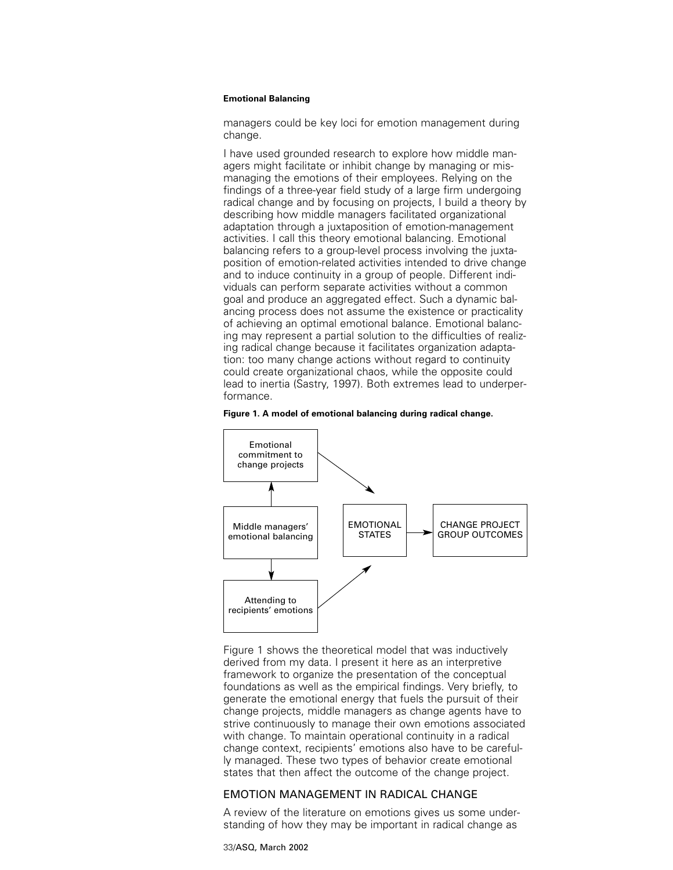managers could be key loci for emotion management during change.

I have used grounded research to explore how middle managers might facilitate or inhibit change by managing or mismanaging the emotions of their employees. Relying on the findings of a three-year field study of a large firm undergoing radical change and by focusing on projects, I build a theory by describing how middle managers facilitated organizational adaptation through a juxtaposition of emotion-management activities. I call this theory emotional balancing. Emotional balancing refers to a group-level process involving the juxtaposition of emotion-related activities intended to drive change and to induce continuity in a group of people. Different individuals can perform separate activities without a common goal and produce an aggregated effect. Such a dynamic balancing process does not assume the existence or practicality of achieving an optimal emotional balance. Emotional balancing may represent a partial solution to the difficulties of realizing radical change because it facilitates organization adaptation: too many change actions without regard to continuity could create organizational chaos, while the opposite could lead to inertia (Sastry, 1997). Both extremes lead to underperformance.

#### **Figure 1. A model of emotional balancing during radical change.**



Figure 1 shows the theoretical model that was inductively derived from my data. I present it here as an interpretive framework to organize the presentation of the conceptual foundations as well as the empirical findings. Very briefly, to generate the emotional energy that fuels the pursuit of their change projects, middle managers as change agents have to strive continuously to manage their own emotions associated with change. To maintain operational continuity in a radical change context, recipients' emotions also have to be carefully managed. These two types of behavior create emotional states that then affect the outcome of the change project.

# EMOTION MANAGEMENT IN RADICAL CHANGE

A review of the literature on emotions gives us some understanding of how they may be important in radical change as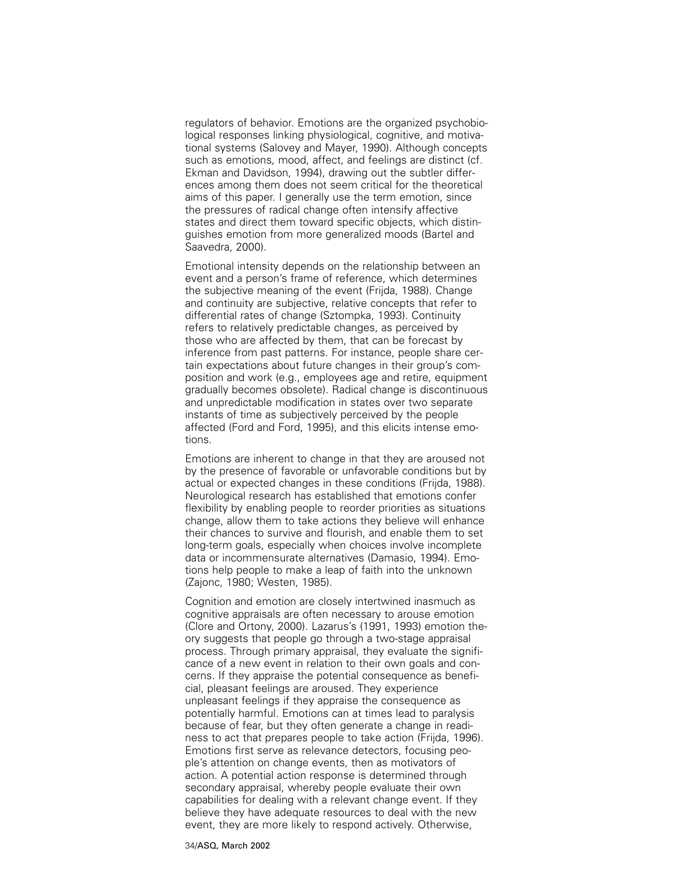regulators of behavior. Emotions are the organized psychobiological responses linking physiological, cognitive, and motivational systems (Salovey and Mayer, 1990). Although concepts such as emotions, mood, affect, and feelings are distinct (cf. Ekman and Davidson, 1994), drawing out the subtler differences among them does not seem critical for the theoretical aims of this paper. I generally use the term emotion, since the pressures of radical change often intensify affective states and direct them toward specific objects, which distinguishes emotion from more generalized moods (Bartel and Saavedra, 2000).

Emotional intensity depends on the relationship between an event and a person's frame of reference, which determines the subjective meaning of the event (Frijda, 1988). Change and continuity are subjective, relative concepts that refer to differential rates of change (Sztompka, 1993). Continuity refers to relatively predictable changes, as perceived by those who are affected by them, that can be forecast by inference from past patterns. For instance, people share certain expectations about future changes in their group's composition and work (e.g., employees age and retire, equipment gradually becomes obsolete). Radical change is discontinuous and unpredictable modification in states over two separate instants of time as subjectively perceived by the people affected (Ford and Ford, 1995), and this elicits intense emotions.

Emotions are inherent to change in that they are aroused not by the presence of favorable or unfavorable conditions but by actual or expected changes in these conditions (Frijda, 1988). Neurological research has established that emotions confer flexibility by enabling people to reorder priorities as situations change, allow them to take actions they believe will enhance their chances to survive and flourish, and enable them to set long-term goals, especially when choices involve incomplete data or incommensurate alternatives (Damasio, 1994). Emotions help people to make a leap of faith into the unknown (Zajonc, 1980; Westen, 1985).

Cognition and emotion are closely intertwined inasmuch as cognitive appraisals are often necessary to arouse emotion (Clore and Ortony, 2000). Lazarus's (1991, 1993) emotion theory suggests that people go through a two-stage appraisal process. Through primary appraisal, they evaluate the significance of a new event in relation to their own goals and concerns. If they appraise the potential consequence as beneficial, pleasant feelings are aroused. They experience unpleasant feelings if they appraise the consequence as potentially harmful. Emotions can at times lead to paralysis because of fear, but they often generate a change in readiness to act that prepares people to take action (Frijda, 1996). Emotions first serve as relevance detectors, focusing people's attention on change events, then as motivators of action. A potential action response is determined through secondary appraisal, whereby people evaluate their own capabilities for dealing with a relevant change event. If they believe they have adequate resources to deal with the new event, they are more likely to respond actively. Otherwise,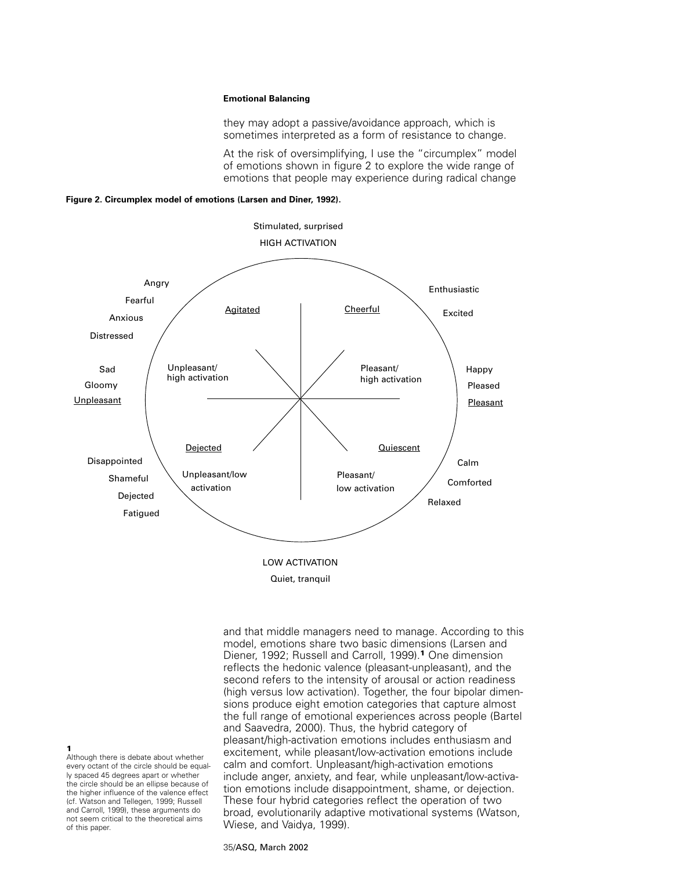they may adopt a passive/avoidance approach, which is sometimes interpreted as a form of resistance to change.

At the risk of oversimplifying, I use the "circumplex" model of emotions shown in figure 2 to explore the wide range of emotions that people may experience during radical change

**Figure 2. Circumplex model of emotions (Larsen and Diner, 1992).**



Quiet, tranquil

and that middle managers need to manage. According to this model, emotions share two basic dimensions (Larsen and Diener, 1992; Russell and Carroll, 1999).**<sup>1</sup>** One dimension reflects the hedonic valence (pleasant-unpleasant), and the second refers to the intensity of arousal or action readiness (high versus low activation). Together, the four bipolar dimensions produce eight emotion categories that capture almost the full range of emotional experiences across people (Bartel and Saavedra, 2000). Thus, the hybrid category of pleasant/high-activation emotions includes enthusiasm and excitement, while pleasant/low-activation emotions include calm and comfort. Unpleasant/high-activation emotions include anger, anxiety, and fear, while unpleasant/low-activation emotions include disappointment, shame, or dejection. These four hybrid categories reflect the operation of two broad, evolutionarily adaptive motivational systems (Watson, Wiese, and Vaidya, 1999).

**1**

Although there is debate about whether every octant of the circle should be equally spaced 45 degrees apart or whether the circle should be an ellipse because of the higher influence of the valence effect (cf. Watson and Tellegen, 1999; Russell and Carroll, 1999), these arguments do not seem critical to the theoretical aims of this paper.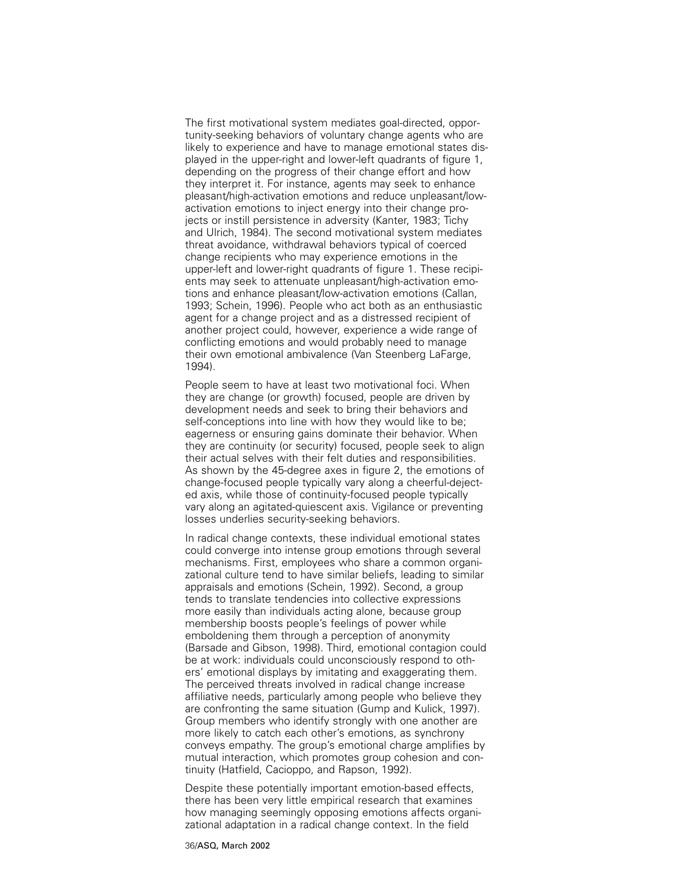The first motivational system mediates goal-directed, opportunity-seeking behaviors of voluntary change agents who are likely to experience and have to manage emotional states displayed in the upper-right and lower-left quadrants of figure 1, depending on the progress of their change effort and how they interpret it. For instance, agents may seek to enhance pleasant/high-activation emotions and reduce unpleasant/lowactivation emotions to inject energy into their change projects or instill persistence in adversity (Kanter, 1983; Tichy and Ulrich, 1984). The second motivational system mediates threat avoidance, withdrawal behaviors typical of coerced change recipients who may experience emotions in the upper-left and lower-right quadrants of figure 1. These recipients may seek to attenuate unpleasant/high-activation emotions and enhance pleasant/low-activation emotions (Callan, 1993; Schein, 1996). People who act both as an enthusiastic agent for a change project and as a distressed recipient of another project could, however, experience a wide range of conflicting emotions and would probably need to manage their own emotional ambivalence (Van Steenberg LaFarge, 1994).

People seem to have at least two motivational foci. When they are change (or growth) focused, people are driven by development needs and seek to bring their behaviors and self-conceptions into line with how they would like to be; eagerness or ensuring gains dominate their behavior. When they are continuity (or security) focused, people seek to align their actual selves with their felt duties and responsibilities. As shown by the 45-degree axes in figure 2, the emotions of change-focused people typically vary along a cheerful-dejected axis, while those of continuity-focused people typically vary along an agitated-quiescent axis. Vigilance or preventing losses underlies security-seeking behaviors.

In radical change contexts, these individual emotional states could converge into intense group emotions through several mechanisms. First, employees who share a common organizational culture tend to have similar beliefs, leading to similar appraisals and emotions (Schein, 1992). Second, a group tends to translate tendencies into collective expressions more easily than individuals acting alone, because group membership boosts people's feelings of power while emboldening them through a perception of anonymity (Barsade and Gibson, 1998). Third, emotional contagion could be at work: individuals could unconsciously respond to others' emotional displays by imitating and exaggerating them. The perceived threats involved in radical change increase affiliative needs, particularly among people who believe they are confronting the same situation (Gump and Kulick, 1997). Group members who identify strongly with one another are more likely to catch each other's emotions, as synchrony conveys empathy. The group's emotional charge amplifies by mutual interaction, which promotes group cohesion and continuity (Hatfield, Cacioppo, and Rapson, 1992).

Despite these potentially important emotion-based effects, there has been very little empirical research that examines how managing seemingly opposing emotions affects organizational adaptation in a radical change context. In the field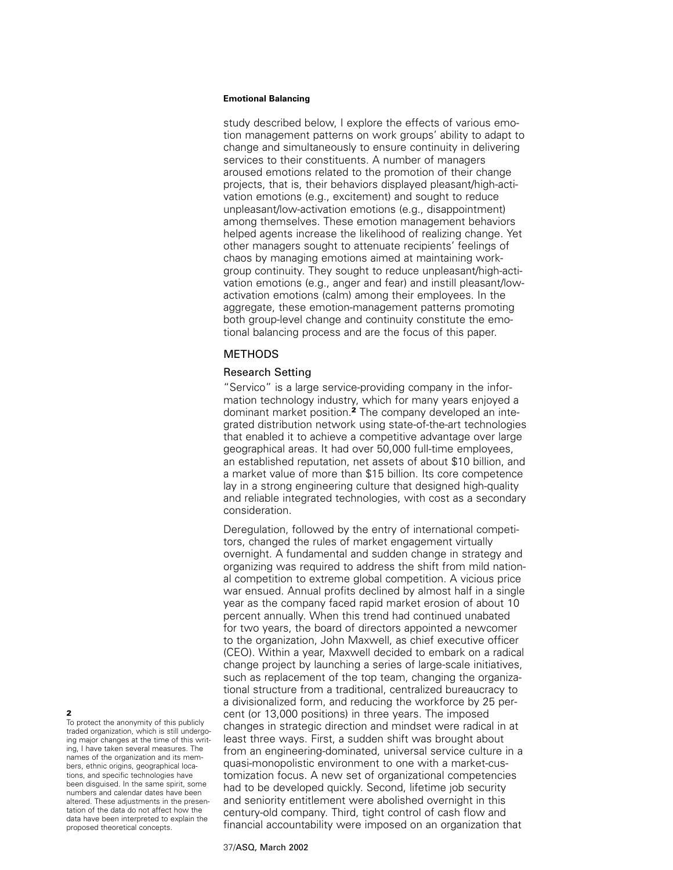study described below, I explore the effects of various emotion management patterns on work groups' ability to adapt to change and simultaneously to ensure continuity in delivering services to their constituents. A number of managers aroused emotions related to the promotion of their change projects, that is, their behaviors displayed pleasant/high-activation emotions (e.g., excitement) and sought to reduce unpleasant/low-activation emotions (e.g., disappointment) among themselves. These emotion management behaviors helped agents increase the likelihood of realizing change. Yet other managers sought to attenuate recipients' feelings of chaos by managing emotions aimed at maintaining workgroup continuity. They sought to reduce unpleasant/high-activation emotions (e.g., anger and fear) and instill pleasant/lowactivation emotions (calm) among their employees. In the aggregate, these emotion-management patterns promoting both group-level change and continuity constitute the emotional balancing process and are the focus of this paper.

# METHODS

# Research Setting

"Servico" is a large service-providing company in the information technology industry, which for many years enjoyed a dominant market position.**<sup>2</sup>** The company developed an integrated distribution network using state-of-the-art technologies that enabled it to achieve a competitive advantage over large geographical areas. It had over 50,000 full-time employees, an established reputation, net assets of about \$10 billion, and a market value of more than \$15 billion. Its core competence lay in a strong engineering culture that designed high-quality and reliable integrated technologies, with cost as a secondary consideration.

Deregulation, followed by the entry of international competitors, changed the rules of market engagement virtually overnight. A fundamental and sudden change in strategy and organizing was required to address the shift from mild national competition to extreme global competition. A vicious price war ensued. Annual profits declined by almost half in a single year as the company faced rapid market erosion of about 10 percent annually. When this trend had continued unabated for two years, the board of directors appointed a newcomer to the organization, John Maxwell, as chief executive officer (CEO). Within a year, Maxwell decided to embark on a radical change project by launching a series of large-scale initiatives, such as replacement of the top team, changing the organizational structure from a traditional, centralized bureaucracy to a divisionalized form, and reducing the workforce by 25 percent (or 13,000 positions) in three years. The imposed changes in strategic direction and mindset were radical in at least three ways. First, a sudden shift was brought about from an engineering-dominated, universal service culture in a quasi-monopolistic environment to one with a market-customization focus. A new set of organizational competencies had to be developed quickly. Second, lifetime job security and seniority entitlement were abolished overnight in this century-old company. Third, tight control of cash flow and financial accountability were imposed on an organization that

#### **2**

To protect the anonymity of this publicly traded organization, which is still undergoing major changes at the time of this writing, I have taken several measures. The names of the organization and its members, ethnic origins, geographical locations, and specific technologies have been disguised. In the same spirit, some numbers and calendar dates have been altered. These adjustments in the presentation of the data do not affect how the data have been interpreted to explain the proposed theoretical concepts.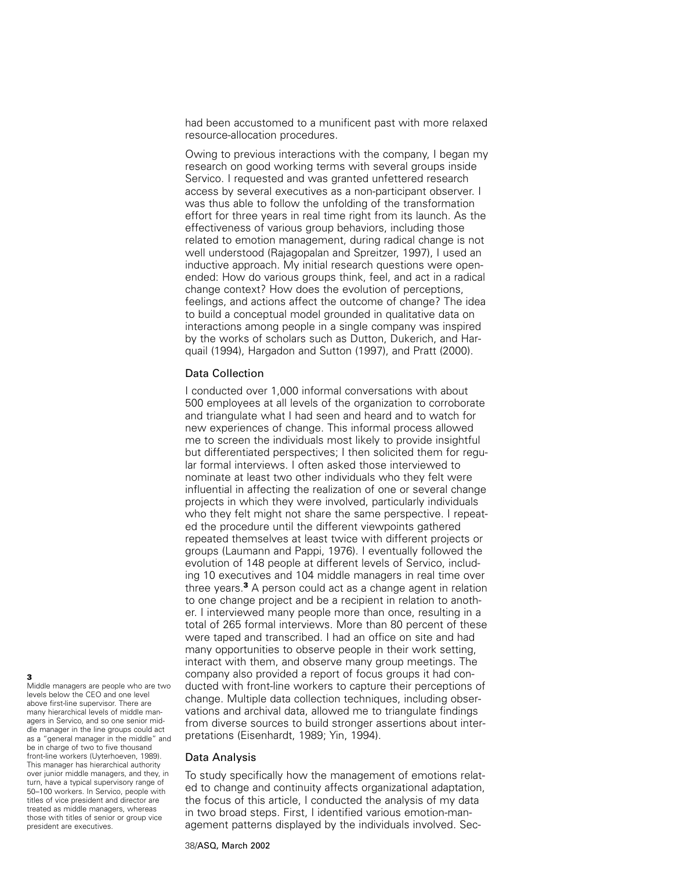had been accustomed to a munificent past with more relaxed resource-allocation procedures.

Owing to previous interactions with the company, I began my research on good working terms with several groups inside Servico. I requested and was granted unfettered research access by several executives as a non-participant observer. I was thus able to follow the unfolding of the transformation effort for three years in real time right from its launch. As the effectiveness of various group behaviors, including those related to emotion management, during radical change is not well understood (Rajagopalan and Spreitzer, 1997), I used an inductive approach. My initial research questions were openended: How do various groups think, feel, and act in a radical change context? How does the evolution of perceptions, feelings, and actions affect the outcome of change? The idea to build a conceptual model grounded in qualitative data on interactions among people in a single company was inspired by the works of scholars such as Dutton, Dukerich, and Harquail (1994), Hargadon and Sutton (1997), and Pratt (2000).

# Data Collection

I conducted over 1,000 informal conversations with about 500 employees at all levels of the organization to corroborate and triangulate what I had seen and heard and to watch for new experiences of change. This informal process allowed me to screen the individuals most likely to provide insightful but differentiated perspectives; I then solicited them for regular formal interviews. I often asked those interviewed to nominate at least two other individuals who they felt were influential in affecting the realization of one or several change projects in which they were involved, particularly individuals who they felt might not share the same perspective. I repeated the procedure until the different viewpoints gathered repeated themselves at least twice with different projects or groups (Laumann and Pappi, 1976). I eventually followed the evolution of 148 people at different levels of Servico, including 10 executives and 104 middle managers in real time over three years.**<sup>3</sup>** A person could act as a change agent in relation to one change project and be a recipient in relation to another. I interviewed many people more than once, resulting in a total of 265 formal interviews. More than 80 percent of these were taped and transcribed. I had an office on site and had many opportunities to observe people in their work setting, interact with them, and observe many group meetings. The company also provided a report of focus groups it had conducted with front-line workers to capture their perceptions of change. Multiple data collection techniques, including observations and archival data, allowed me to triangulate findings from diverse sources to build stronger assertions about interpretations (Eisenhardt, 1989; Yin, 1994).

# Data Analysis

To study specifically how the management of emotions related to change and continuity affects organizational adaptation, the focus of this article, I conducted the analysis of my data in two broad steps. First, I identified various emotion-management patterns displayed by the individuals involved. Sec-

# **3**

Middle managers are people who are two levels below the CEO and one level above first-line supervisor. There are many hierarchical levels of middle managers in Servico, and so one senior middle manager in the line groups could act as a "general manager in the middle" and be in charge of two to five thousand front-line workers (Uyterhoeven, 1989). This manager has hierarchical authority over junior middle managers, and they, in turn, have a typical supervisory range of 50–100 workers. In Servico, people with titles of vice president and director are treated as middle managers, whereas those with titles of senior or group vice president are executives.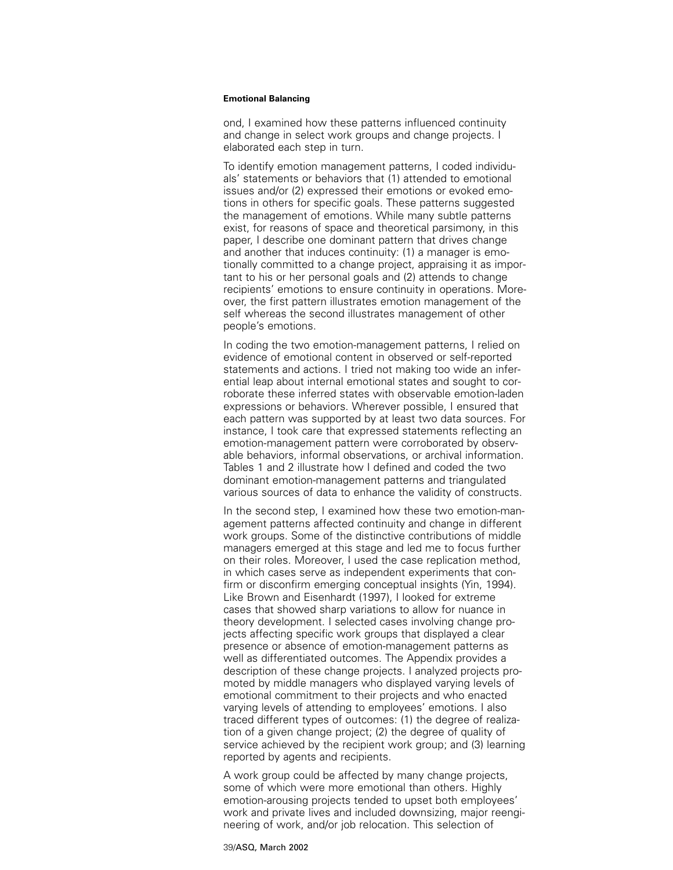ond, I examined how these patterns influenced continuity and change in select work groups and change projects. I elaborated each step in turn.

To identify emotion management patterns, I coded individuals' statements or behaviors that (1) attended to emotional issues and/or (2) expressed their emotions or evoked emotions in others for specific goals. These patterns suggested the management of emotions. While many subtle patterns exist, for reasons of space and theoretical parsimony, in this paper, I describe one dominant pattern that drives change and another that induces continuity: (1) a manager is emotionally committed to a change project, appraising it as important to his or her personal goals and (2) attends to change recipients' emotions to ensure continuity in operations. Moreover, the first pattern illustrates emotion management of the self whereas the second illustrates management of other people's emotions.

In coding the two emotion-management patterns, I relied on evidence of emotional content in observed or self-reported statements and actions. I tried not making too wide an inferential leap about internal emotional states and sought to corroborate these inferred states with observable emotion-laden expressions or behaviors. Wherever possible, I ensured that each pattern was supported by at least two data sources. For instance, I took care that expressed statements reflecting an emotion-management pattern were corroborated by observable behaviors, informal observations, or archival information. Tables 1 and 2 illustrate how I defined and coded the two dominant emotion-management patterns and triangulated various sources of data to enhance the validity of constructs.

In the second step, I examined how these two emotion-management patterns affected continuity and change in different work groups. Some of the distinctive contributions of middle managers emerged at this stage and led me to focus further on their roles. Moreover, I used the case replication method, in which cases serve as independent experiments that confirm or disconfirm emerging conceptual insights (Yin, 1994). Like Brown and Eisenhardt (1997), I looked for extreme cases that showed sharp variations to allow for nuance in theory development. I selected cases involving change projects affecting specific work groups that displayed a clear presence or absence of emotion-management patterns as well as differentiated outcomes. The Appendix provides a description of these change projects. I analyzed projects promoted by middle managers who displayed varying levels of emotional commitment to their projects and who enacted varying levels of attending to employees' emotions. I also traced different types of outcomes: (1) the degree of realization of a given change project; (2) the degree of quality of service achieved by the recipient work group; and (3) learning reported by agents and recipients.

A work group could be affected by many change projects, some of which were more emotional than others. Highly emotion-arousing projects tended to upset both employees' work and private lives and included downsizing, major reengineering of work, and/or job relocation. This selection of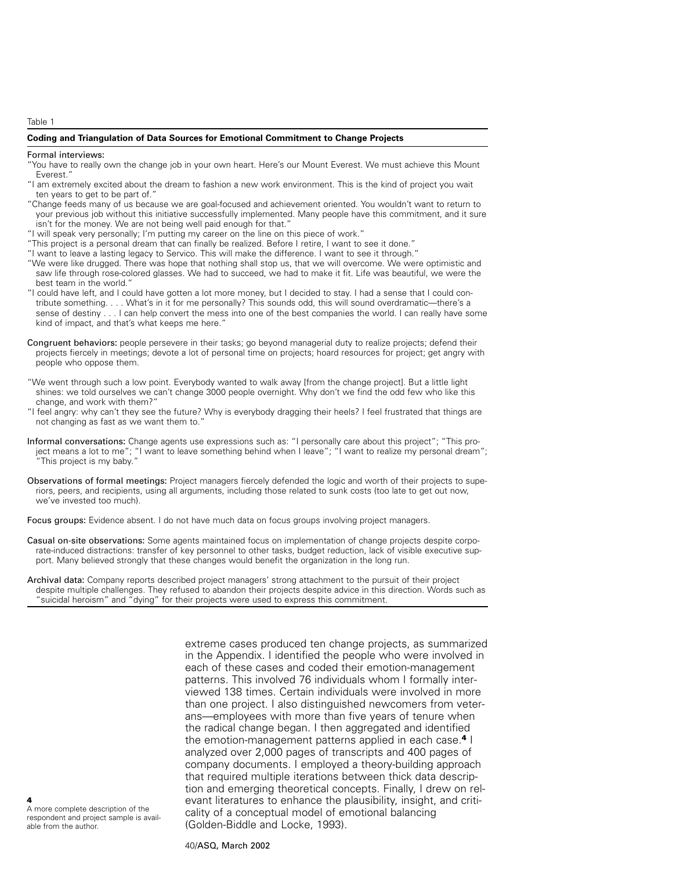Table 1

#### **Coding and Triangulation of Data Sources for Emotional Commitment to Change Projects**

#### Formal interviews:

- "You have to really own the change job in your own heart. Here's our Mount Everest. We must achieve this Mount Everest."
- "I am extremely excited about the dream to fashion a new work environment. This is the kind of project you wait ten years to get to be part of."
- "Change feeds many of us because we are goal-focused and achievement oriented. You wouldn't want to return to your previous job without this initiative successfully implemented. Many people have this commitment, and it sure isn't for the money. We are not being well paid enough for that."
- "I will speak very personally; I'm putting my career on the line on this piece of work."
- "This project is a personal dream that can finally be realized. Before I retire, I want to see it done."
- "I want to leave a lasting legacy to Servico. This will make the difference. I want to see it through."
- "We were like drugged. There was hope that nothing shall stop us, that we will overcome. We were optimistic and saw life through rose-colored glasses. We had to succeed, we had to make it fit. Life was beautiful, we were the best team in the world."
- "I could have left, and I could have gotten a lot more money, but I decided to stay. I had a sense that I could contribute something. . . . What's in it for me personally? This sounds odd, this will sound overdramatic—there's a sense of destiny . . . I can help convert the mess into one of the best companies the world. I can really have some kind of impact, and that's what keeps me here."
- Congruent behaviors: people persevere in their tasks; go beyond managerial duty to realize projects; defend their projects fiercely in meetings; devote a lot of personal time on projects; hoard resources for project; get angry with people who oppose them.
- "We went through such a low point. Everybody wanted to walk away [from the change project]. But a little light shines: we told ourselves we can't change 3000 people overnight. Why don't we find the odd few who like this change, and work with them?"
- "I feel angry: why can't they see the future? Why is everybody dragging their heels? I feel frustrated that things are not changing as fast as we want them to."
- Informal conversations: Change agents use expressions such as: "I personally care about this project"; "This project means a lot to me"; "I want to leave something behind when I leave"; "I want to realize my personal dream"; "This project is my baby."
- Observations of formal meetings: Project managers fiercely defended the logic and worth of their projects to superiors, peers, and recipients, using all arguments, including those related to sunk costs (too late to get out now, we've invested too much).

Focus groups: Evidence absent. I do not have much data on focus groups involving project managers.

Casual on-site observations: Some agents maintained focus on implementation of change projects despite corporate-induced distractions: transfer of key personnel to other tasks, budget reduction, lack of visible executive support. Many believed strongly that these changes would benefit the organization in the long run.

extreme cases produced ten change projects, as summarized in the Appendix. I identified the people who were involved in each of these cases and coded their emotion-management patterns. This involved 76 individuals whom I formally interviewed 138 times. Certain individuals were involved in more than one project. I also distinguished newcomers from veterans—employees with more than five years of tenure when the radical change began. I then aggregated and identified the emotion-management patterns applied in each case.**<sup>4</sup>** I analyzed over 2,000 pages of transcripts and 400 pages of company documents. I employed a theory-building approach that required multiple iterations between thick data description and emerging theoretical concepts. Finally, I drew on relevant literatures to enhance the plausibility, insight, and criticality of a conceptual model of emotional balancing (Golden-Biddle and Locke, 1993).

A more complete description of the respondent and project sample is available from the author.

**4**

Archival data: Company reports described project managers' strong attachment to the pursuit of their project despite multiple challenges. They refused to abandon their projects despite advice in this direction. Words such as "suicidal heroism" and "dying" for their projects were used to express this commitment.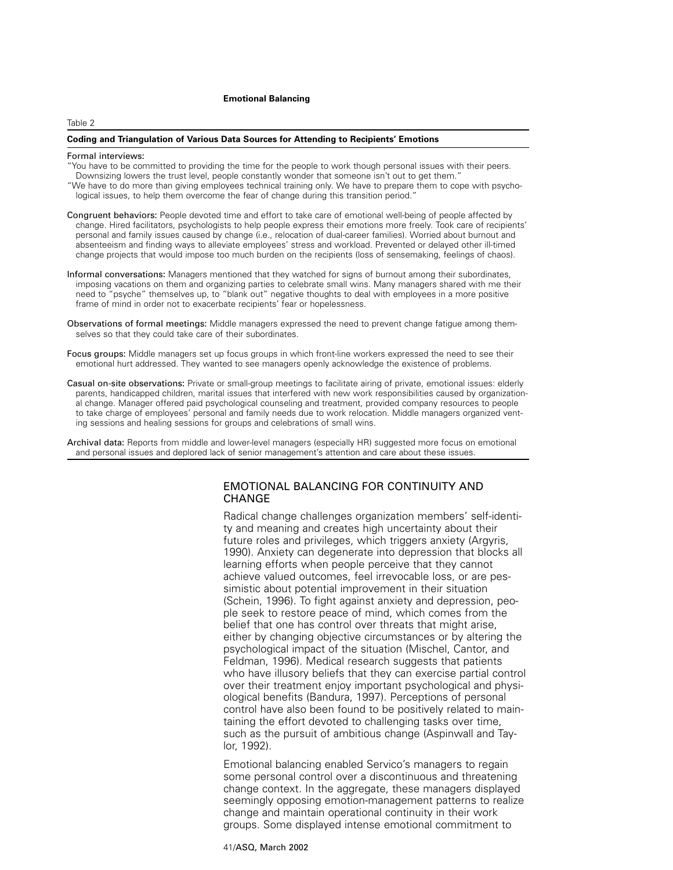#### Table 2

## **Coding and Triangulation of Various Data Sources for Attending to Recipients' Emotions**

#### Formal interviews:

- "You have to be committed to providing the time for the people to work though personal issues with their peers. Downsizing lowers the trust level, people constantly wonder that someone isn't out to get them."
- "We have to do more than giving employees technical training only. We have to prepare them to cope with psychological issues, to help them overcome the fear of change during this transition period."
- Congruent behaviors: People devoted time and effort to take care of emotional well-being of people affected by change. Hired facilitators, psychologists to help people express their emotions more freely. Took care of recipients' personal and family issues caused by change (i.e., relocation of dual-career families). Worried about burnout and absenteeism and finding ways to alleviate employees' stress and workload. Prevented or delayed other ill-timed change projects that would impose too much burden on the recipients (loss of sensemaking, feelings of chaos).
- Informal conversations: Managers mentioned that they watched for signs of burnout among their subordinates, imposing vacations on them and organizing parties to celebrate small wins. Many managers shared with me their need to "psyche" themselves up, to "blank out" negative thoughts to deal with employees in a more positive frame of mind in order not to exacerbate recipients' fear or hopelessness.
- Observations of formal meetings: Middle managers expressed the need to prevent change fatigue among themselves so that they could take care of their subordinates.
- Focus groups: Middle managers set up focus groups in which front-line workers expressed the need to see their emotional hurt addressed. They wanted to see managers openly acknowledge the existence of problems.
- Casual on-site observations: Private or small-group meetings to facilitate airing of private, emotional issues: elderly parents, handicapped children, marital issues that interfered with new work responsibilities caused by organizational change. Manager offered paid psychological counseling and treatment, provided company resources to people to take charge of employees' personal and family needs due to work relocation. Middle managers organized venting sessions and healing sessions for groups and celebrations of small wins.

Archival data: Reports from middle and lower-level managers (especially HR) suggested more focus on emotional and personal issues and deplored lack of senior management's attention and care about these issues.

# EMOTIONAL BALANCING FOR CONTINUITY AND CHANGE

Radical change challenges organization members' self-identity and meaning and creates high uncertainty about their future roles and privileges, which triggers anxiety (Argyris, 1990). Anxiety can degenerate into depression that blocks all learning efforts when people perceive that they cannot achieve valued outcomes, feel irrevocable loss, or are pessimistic about potential improvement in their situation (Schein, 1996). To fight against anxiety and depression, people seek to restore peace of mind, which comes from the belief that one has control over threats that might arise, either by changing objective circumstances or by altering the psychological impact of the situation (Mischel, Cantor, and Feldman, 1996). Medical research suggests that patients who have illusory beliefs that they can exercise partial control over their treatment enjoy important psychological and physiological benefits (Bandura, 1997). Perceptions of personal control have also been found to be positively related to maintaining the effort devoted to challenging tasks over time, such as the pursuit of ambitious change (Aspinwall and Taylor, 1992).

Emotional balancing enabled Servico's managers to regain some personal control over a discontinuous and threatening change context. In the aggregate, these managers displayed seemingly opposing emotion-management patterns to realize change and maintain operational continuity in their work groups. Some displayed intense emotional commitment to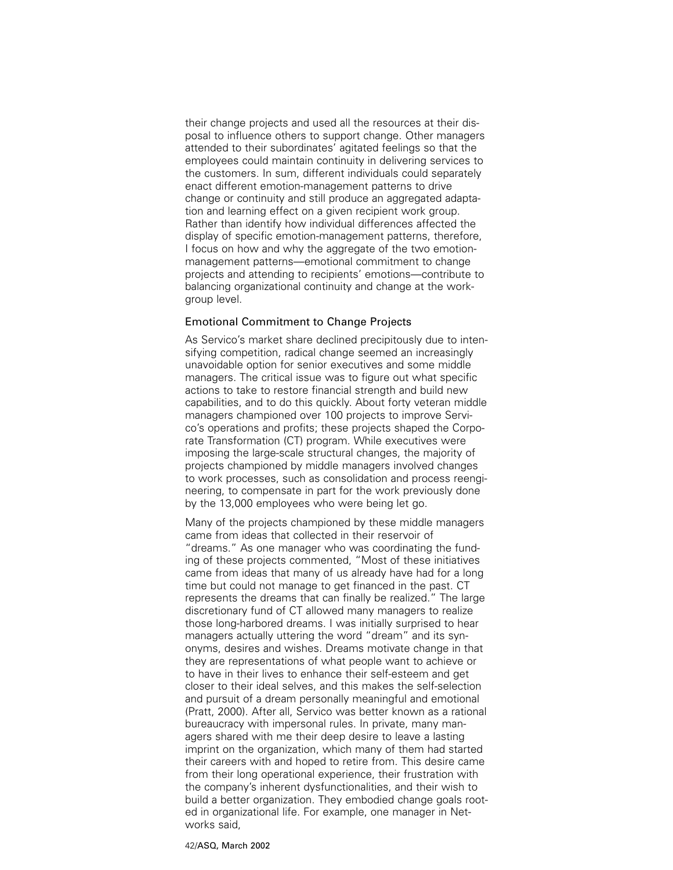their change projects and used all the resources at their disposal to influence others to support change. Other managers attended to their subordinates' agitated feelings so that the employees could maintain continuity in delivering services to the customers. In sum, different individuals could separately enact different emotion-management patterns to drive change or continuity and still produce an aggregated adaptation and learning effect on a given recipient work group. Rather than identify how individual differences affected the display of specific emotion-management patterns, therefore, I focus on how and why the aggregate of the two emotionmanagement patterns—emotional commitment to change projects and attending to recipients' emotions—contribute to balancing organizational continuity and change at the workgroup level.

# Emotional Commitment to Change Projects

As Servico's market share declined precipitously due to intensifying competition, radical change seemed an increasingly unavoidable option for senior executives and some middle managers. The critical issue was to figure out what specific actions to take to restore financial strength and build new capabilities, and to do this quickly. About forty veteran middle managers championed over 100 projects to improve Servico's operations and profits; these projects shaped the Corporate Transformation (CT) program. While executives were imposing the large-scale structural changes, the majority of projects championed by middle managers involved changes to work processes, such as consolidation and process reengineering, to compensate in part for the work previously done by the 13,000 employees who were being let go.

Many of the projects championed by these middle managers came from ideas that collected in their reservoir of "dreams." As one manager who was coordinating the funding of these projects commented, "Most of these initiatives came from ideas that many of us already have had for a long time but could not manage to get financed in the past. CT represents the dreams that can finally be realized." The large discretionary fund of CT allowed many managers to realize those long-harbored dreams. I was initially surprised to hear managers actually uttering the word "dream" and its synonyms, desires and wishes. Dreams motivate change in that they are representations of what people want to achieve or to have in their lives to enhance their self-esteem and get closer to their ideal selves, and this makes the self-selection and pursuit of a dream personally meaningful and emotional (Pratt, 2000). After all, Servico was better known as a rational bureaucracy with impersonal rules. In private, many managers shared with me their deep desire to leave a lasting imprint on the organization, which many of them had started their careers with and hoped to retire from. This desire came from their long operational experience, their frustration with the company's inherent dysfunctionalities, and their wish to build a better organization. They embodied change goals rooted in organizational life. For example, one manager in Networks said,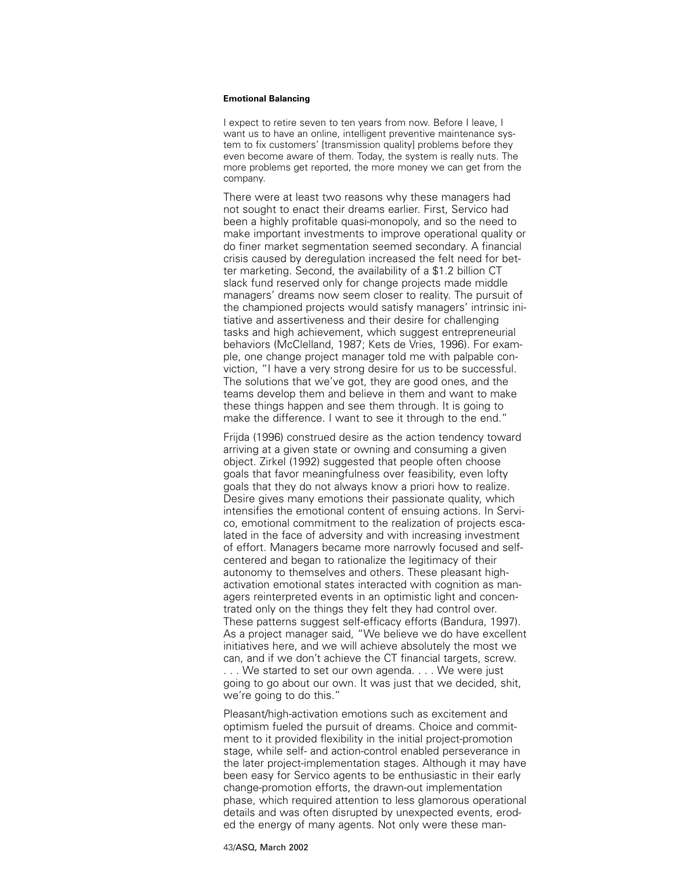I expect to retire seven to ten years from now. Before I leave, I want us to have an online, intelligent preventive maintenance system to fix customers' [transmission quality] problems before they even become aware of them. Today, the system is really nuts. The more problems get reported, the more money we can get from the company.

There were at least two reasons why these managers had not sought to enact their dreams earlier. First, Servico had been a highly profitable quasi-monopoly, and so the need to make important investments to improve operational quality or do finer market segmentation seemed secondary. A financial crisis caused by deregulation increased the felt need for better marketing. Second, the availability of a \$1.2 billion CT slack fund reserved only for change projects made middle managers' dreams now seem closer to reality. The pursuit of the championed projects would satisfy managers' intrinsic initiative and assertiveness and their desire for challenging tasks and high achievement, which suggest entrepreneurial behaviors (McClelland, 1987; Kets de Vries, 1996). For example, one change project manager told me with palpable conviction, "I have a very strong desire for us to be successful. The solutions that we've got, they are good ones, and the teams develop them and believe in them and want to make these things happen and see them through. It is going to make the difference. I want to see it through to the end."

Frijda (1996) construed desire as the action tendency toward arriving at a given state or owning and consuming a given object. Zirkel (1992) suggested that people often choose goals that favor meaningfulness over feasibility, even lofty goals that they do not always know a priori how to realize. Desire gives many emotions their passionate quality, which intensifies the emotional content of ensuing actions. In Servico, emotional commitment to the realization of projects escalated in the face of adversity and with increasing investment of effort. Managers became more narrowly focused and selfcentered and began to rationalize the legitimacy of their autonomy to themselves and others. These pleasant highactivation emotional states interacted with cognition as managers reinterpreted events in an optimistic light and concentrated only on the things they felt they had control over. These patterns suggest self-efficacy efforts (Bandura, 1997). As a project manager said, "We believe we do have excellent initiatives here, and we will achieve absolutely the most we can, and if we don't achieve the CT financial targets, screw. . . . We started to set our own agenda. . . . We were just going to go about our own. It was just that we decided, shit, we're going to do this."

Pleasant/high-activation emotions such as excitement and optimism fueled the pursuit of dreams. Choice and commitment to it provided flexibility in the initial project-promotion stage, while self- and action-control enabled perseverance in the later project-implementation stages. Although it may have been easy for Servico agents to be enthusiastic in their early change-promotion efforts, the drawn-out implementation phase, which required attention to less glamorous operational details and was often disrupted by unexpected events, eroded the energy of many agents. Not only were these man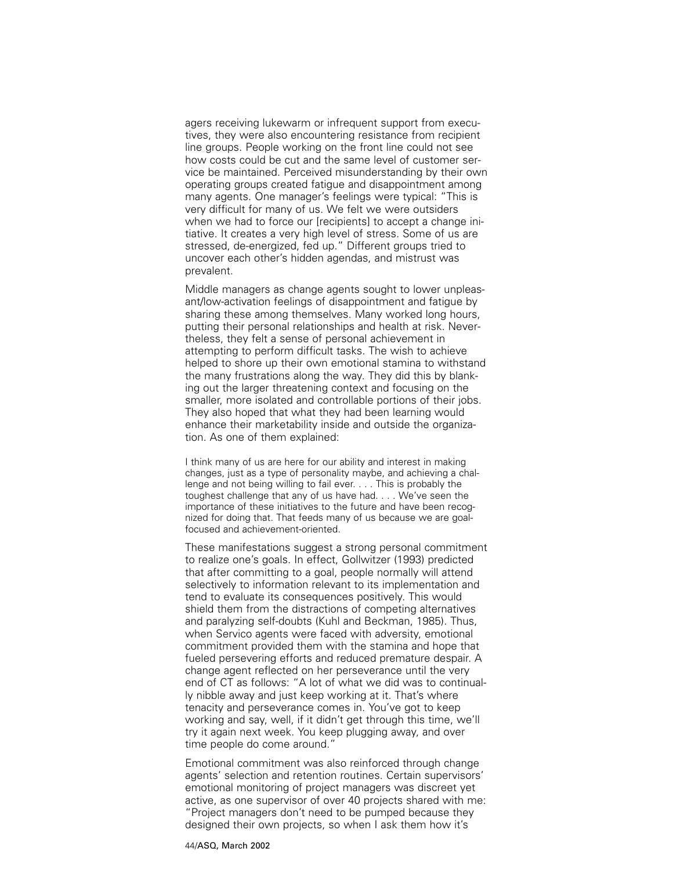agers receiving lukewarm or infrequent support from executives, they were also encountering resistance from recipient line groups. People working on the front line could not see how costs could be cut and the same level of customer service be maintained. Perceived misunderstanding by their own operating groups created fatigue and disappointment among many agents. One manager's feelings were typical: "This is very difficult for many of us. We felt we were outsiders when we had to force our [recipients] to accept a change initiative. It creates a very high level of stress. Some of us are stressed, de-energized, fed up." Different groups tried to uncover each other's hidden agendas, and mistrust was prevalent.

Middle managers as change agents sought to lower unpleasant/low-activation feelings of disappointment and fatigue by sharing these among themselves. Many worked long hours, putting their personal relationships and health at risk. Nevertheless, they felt a sense of personal achievement in attempting to perform difficult tasks. The wish to achieve helped to shore up their own emotional stamina to withstand the many frustrations along the way. They did this by blanking out the larger threatening context and focusing on the smaller, more isolated and controllable portions of their jobs. They also hoped that what they had been learning would enhance their marketability inside and outside the organization. As one of them explained:

I think many of us are here for our ability and interest in making changes, just as a type of personality maybe, and achieving a challenge and not being willing to fail ever. . . . This is probably the toughest challenge that any of us have had. . . . We've seen the importance of these initiatives to the future and have been recognized for doing that. That feeds many of us because we are goalfocused and achievement-oriented.

These manifestations suggest a strong personal commitment to realize one's goals. In effect, Gollwitzer (1993) predicted that after committing to a goal, people normally will attend selectively to information relevant to its implementation and tend to evaluate its consequences positively. This would shield them from the distractions of competing alternatives and paralyzing self-doubts (Kuhl and Beckman, 1985). Thus, when Servico agents were faced with adversity, emotional commitment provided them with the stamina and hope that fueled persevering efforts and reduced premature despair. A change agent reflected on her perseverance until the very end of CT as follows: "A lot of what we did was to continually nibble away and just keep working at it. That's where tenacity and perseverance comes in. You've got to keep working and say, well, if it didn't get through this time, we'll try it again next week. You keep plugging away, and over time people do come around."

Emotional commitment was also reinforced through change agents' selection and retention routines. Certain supervisors' emotional monitoring of project managers was discreet yet active, as one supervisor of over 40 projects shared with me: "Project managers don't need to be pumped because they designed their own projects, so when I ask them how it's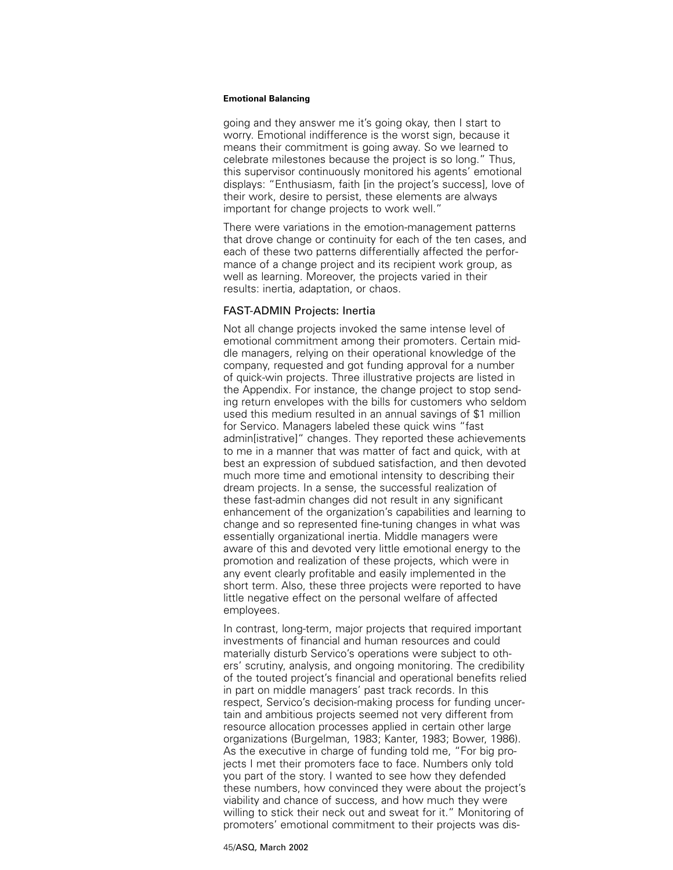going and they answer me it's going okay, then I start to worry. Emotional indifference is the worst sign, because it means their commitment is going away. So we learned to celebrate milestones because the project is so long." Thus, this supervisor continuously monitored his agents' emotional displays: "Enthusiasm, faith [in the project's success], love of their work, desire to persist, these elements are always important for change projects to work well."

There were variations in the emotion-management patterns that drove change or continuity for each of the ten cases, and each of these two patterns differentially affected the performance of a change project and its recipient work group, as well as learning. Moreover, the projects varied in their results: inertia, adaptation, or chaos.

# FAST-ADMIN Projects: Inertia

Not all change projects invoked the same intense level of emotional commitment among their promoters. Certain middle managers, relying on their operational knowledge of the company, requested and got funding approval for a number of quick-win projects. Three illustrative projects are listed in the Appendix. For instance, the change project to stop sending return envelopes with the bills for customers who seldom used this medium resulted in an annual savings of \$1 million for Servico. Managers labeled these quick wins "fast admin[istrative]" changes. They reported these achievements to me in a manner that was matter of fact and quick, with at best an expression of subdued satisfaction, and then devoted much more time and emotional intensity to describing their dream projects. In a sense, the successful realization of these fast-admin changes did not result in any significant enhancement of the organization's capabilities and learning to change and so represented fine-tuning changes in what was essentially organizational inertia. Middle managers were aware of this and devoted very little emotional energy to the promotion and realization of these projects, which were in any event clearly profitable and easily implemented in the short term. Also, these three projects were reported to have little negative effect on the personal welfare of affected employees.

In contrast, long-term, major projects that required important investments of financial and human resources and could materially disturb Servico's operations were subject to others' scrutiny, analysis, and ongoing monitoring. The credibility of the touted project's financial and operational benefits relied in part on middle managers' past track records. In this respect, Servico's decision-making process for funding uncertain and ambitious projects seemed not very different from resource allocation processes applied in certain other large organizations (Burgelman, 1983; Kanter, 1983; Bower, 1986). As the executive in charge of funding told me, "For big projects I met their promoters face to face. Numbers only told you part of the story. I wanted to see how they defended these numbers, how convinced they were about the project's viability and chance of success, and how much they were willing to stick their neck out and sweat for it." Monitoring of promoters' emotional commitment to their projects was dis-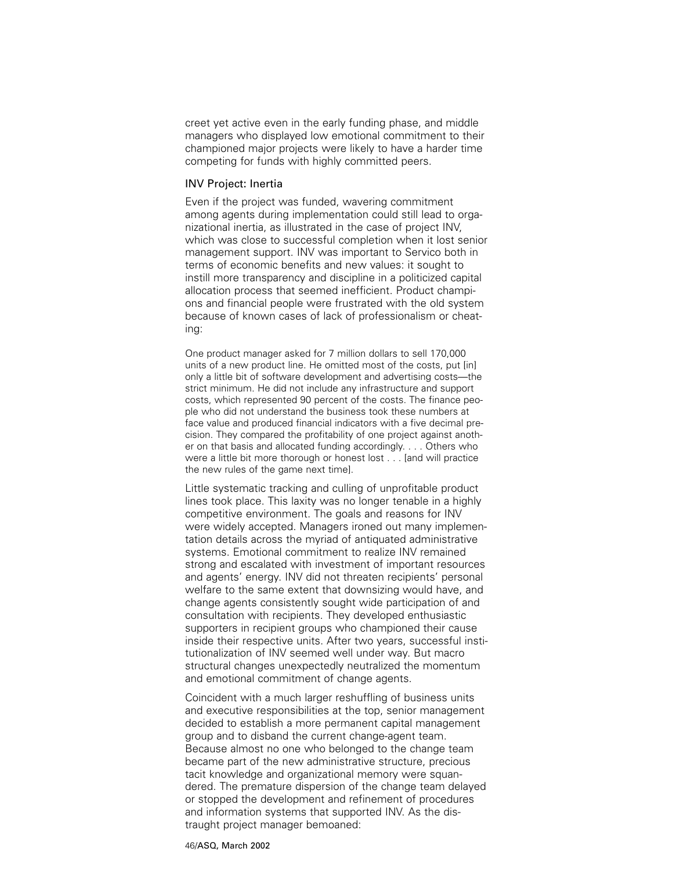creet yet active even in the early funding phase, and middle managers who displayed low emotional commitment to their championed major projects were likely to have a harder time competing for funds with highly committed peers.

# INV Project: Inertia

Even if the project was funded, wavering commitment among agents during implementation could still lead to organizational inertia, as illustrated in the case of project INV, which was close to successful completion when it lost senior management support. INV was important to Servico both in terms of economic benefits and new values: it sought to instill more transparency and discipline in a politicized capital allocation process that seemed inefficient. Product champions and financial people were frustrated with the old system because of known cases of lack of professionalism or cheating:

One product manager asked for 7 million dollars to sell 170,000 units of a new product line. He omitted most of the costs, put [in] only a little bit of software development and advertising costs—the strict minimum. He did not include any infrastructure and support costs, which represented 90 percent of the costs. The finance people who did not understand the business took these numbers at face value and produced financial indicators with a five decimal precision. They compared the profitability of one project against another on that basis and allocated funding accordingly. . . . Others who were a little bit more thorough or honest lost . . . [and will practice the new rules of the game next time].

Little systematic tracking and culling of unprofitable product lines took place. This laxity was no longer tenable in a highly competitive environment. The goals and reasons for INV were widely accepted. Managers ironed out many implementation details across the myriad of antiquated administrative systems. Emotional commitment to realize INV remained strong and escalated with investment of important resources and agents' energy. INV did not threaten recipients' personal welfare to the same extent that downsizing would have, and change agents consistently sought wide participation of and consultation with recipients. They developed enthusiastic supporters in recipient groups who championed their cause inside their respective units. After two years, successful institutionalization of INV seemed well under way. But macro structural changes unexpectedly neutralized the momentum and emotional commitment of change agents.

Coincident with a much larger reshuffling of business units and executive responsibilities at the top, senior management decided to establish a more permanent capital management group and to disband the current change-agent team. Because almost no one who belonged to the change team became part of the new administrative structure, precious tacit knowledge and organizational memory were squandered. The premature dispersion of the change team delayed or stopped the development and refinement of procedures and information systems that supported INV. As the distraught project manager bemoaned: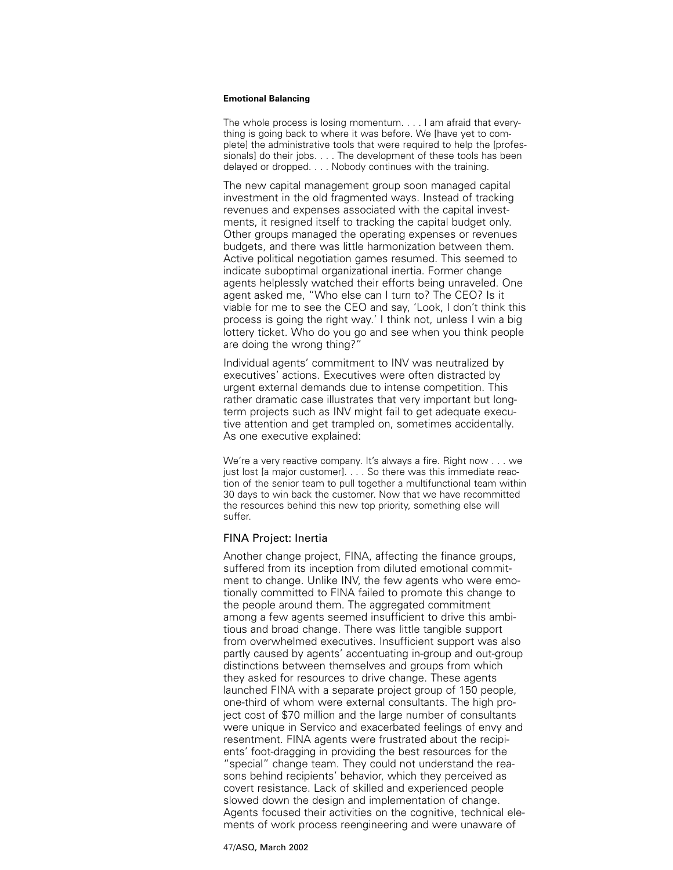The whole process is losing momentum. . . . I am afraid that everything is going back to where it was before. We [have yet to complete] the administrative tools that were required to help the [professionals] do their jobs. . . . The development of these tools has been delayed or dropped. . . . Nobody continues with the training.

The new capital management group soon managed capital investment in the old fragmented ways. Instead of tracking revenues and expenses associated with the capital investments, it resigned itself to tracking the capital budget only. Other groups managed the operating expenses or revenues budgets, and there was little harmonization between them. Active political negotiation games resumed. This seemed to indicate suboptimal organizational inertia. Former change agents helplessly watched their efforts being unraveled. One agent asked me, "Who else can I turn to? The CEO? Is it viable for me to see the CEO and say, 'Look, I don't think this process is going the right way.' I think not, unless I win a big lottery ticket. Who do you go and see when you think people are doing the wrong thing?"

Individual agents' commitment to INV was neutralized by executives' actions. Executives were often distracted by urgent external demands due to intense competition. This rather dramatic case illustrates that very important but longterm projects such as INV might fail to get adequate executive attention and get trampled on, sometimes accidentally. As one executive explained:

We're a very reactive company. It's always a fire. Right now . . . we just lost [a major customer]. . . . So there was this immediate reaction of the senior team to pull together a multifunctional team within 30 days to win back the customer. Now that we have recommitted the resources behind this new top priority, something else will suffer.

# FINA Project: Inertia

Another change project, FINA, affecting the finance groups, suffered from its inception from diluted emotional commitment to change. Unlike INV, the few agents who were emotionally committed to FINA failed to promote this change to the people around them. The aggregated commitment among a few agents seemed insufficient to drive this ambitious and broad change. There was little tangible support from overwhelmed executives. Insufficient support was also partly caused by agents' accentuating in-group and out-group distinctions between themselves and groups from which they asked for resources to drive change. These agents launched FINA with a separate project group of 150 people, one-third of whom were external consultants. The high project cost of \$70 million and the large number of consultants were unique in Servico and exacerbated feelings of envy and resentment. FINA agents were frustrated about the recipients' foot-dragging in providing the best resources for the "special" change team. They could not understand the reasons behind recipients' behavior, which they perceived as covert resistance. Lack of skilled and experienced people slowed down the design and implementation of change. Agents focused their activities on the cognitive, technical elements of work process reengineering and were unaware of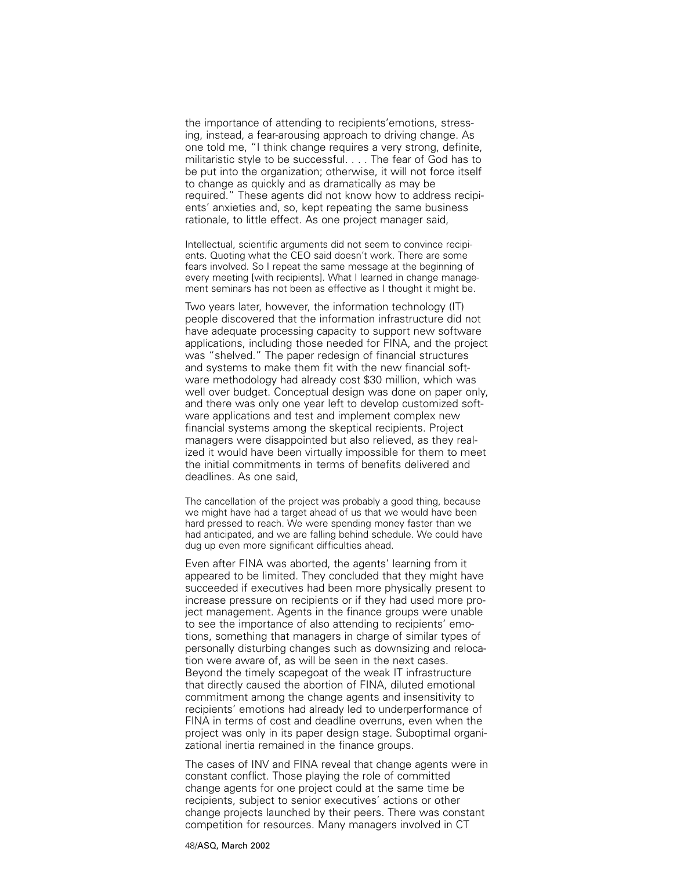the importance of attending to recipients'emotions, stressing, instead, a fear-arousing approach to driving change. As one told me, "I think change requires a very strong, definite, militaristic style to be successful. . . . The fear of God has to be put into the organization; otherwise, it will not force itself to change as quickly and as dramatically as may be required." These agents did not know how to address recipients' anxieties and, so, kept repeating the same business rationale, to little effect. As one project manager said,

Intellectual, scientific arguments did not seem to convince recipients. Quoting what the CEO said doesn't work. There are some fears involved. So I repeat the same message at the beginning of every meeting [with recipients]. What I learned in change management seminars has not been as effective as I thought it might be.

Two years later, however, the information technology (IT) people discovered that the information infrastructure did not have adequate processing capacity to support new software applications, including those needed for FINA, and the project was "shelved." The paper redesign of financial structures and systems to make them fit with the new financial software methodology had already cost \$30 million, which was well over budget. Conceptual design was done on paper only, and there was only one year left to develop customized software applications and test and implement complex new financial systems among the skeptical recipients. Project managers were disappointed but also relieved, as they realized it would have been virtually impossible for them to meet the initial commitments in terms of benefits delivered and deadlines. As one said,

The cancellation of the project was probably a good thing, because we might have had a target ahead of us that we would have been hard pressed to reach. We were spending money faster than we had anticipated, and we are falling behind schedule. We could have dug up even more significant difficulties ahead.

Even after FINA was aborted, the agents' learning from it appeared to be limited. They concluded that they might have succeeded if executives had been more physically present to increase pressure on recipients or if they had used more project management. Agents in the finance groups were unable to see the importance of also attending to recipients' emotions, something that managers in charge of similar types of personally disturbing changes such as downsizing and relocation were aware of, as will be seen in the next cases. Beyond the timely scapegoat of the weak IT infrastructure that directly caused the abortion of FINA, diluted emotional commitment among the change agents and insensitivity to recipients' emotions had already led to underperformance of FINA in terms of cost and deadline overruns, even when the project was only in its paper design stage. Suboptimal organizational inertia remained in the finance groups.

The cases of INV and FINA reveal that change agents were in constant conflict. Those playing the role of committed change agents for one project could at the same time be recipients, subject to senior executives' actions or other change projects launched by their peers. There was constant competition for resources. Many managers involved in CT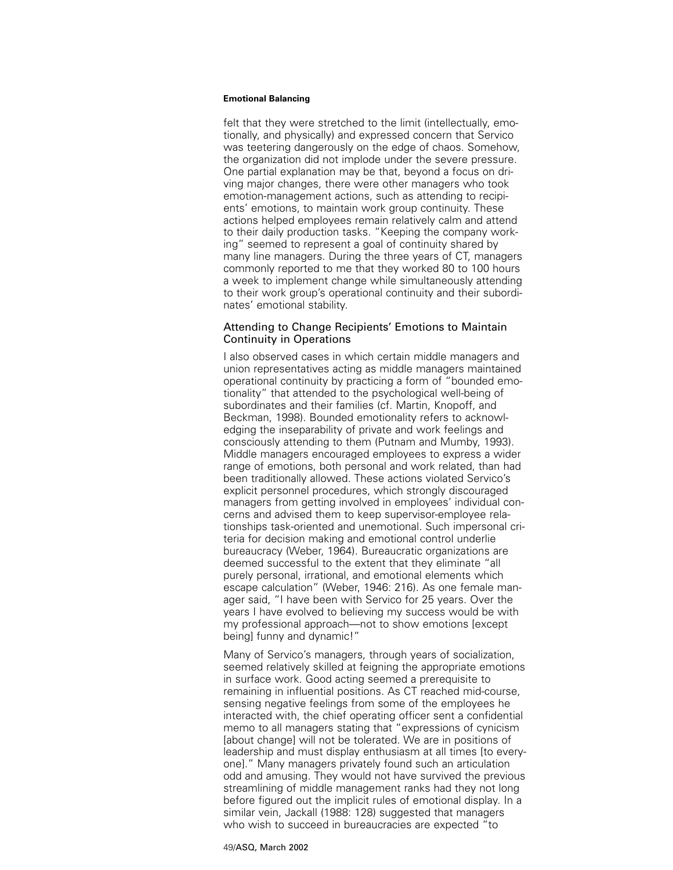felt that they were stretched to the limit (intellectually, emotionally, and physically) and expressed concern that Servico was teetering dangerously on the edge of chaos. Somehow, the organization did not implode under the severe pressure. One partial explanation may be that, beyond a focus on driving major changes, there were other managers who took emotion-management actions, such as attending to recipients' emotions, to maintain work group continuity. These actions helped employees remain relatively calm and attend to their daily production tasks. "Keeping the company working" seemed to represent a goal of continuity shared by many line managers. During the three years of CT, managers commonly reported to me that they worked 80 to 100 hours a week to implement change while simultaneously attending to their work group's operational continuity and their subordinates' emotional stability.

# Attending to Change Recipients' Emotions to Maintain Continuity in Operations

I also observed cases in which certain middle managers and union representatives acting as middle managers maintained operational continuity by practicing a form of "bounded emotionality" that attended to the psychological well-being of subordinates and their families (cf. Martin, Knopoff, and Beckman, 1998). Bounded emotionality refers to acknowledging the inseparability of private and work feelings and consciously attending to them (Putnam and Mumby, 1993). Middle managers encouraged employees to express a wider range of emotions, both personal and work related, than had been traditionally allowed. These actions violated Servico's explicit personnel procedures, which strongly discouraged managers from getting involved in employees' individual concerns and advised them to keep supervisor-employee relationships task-oriented and unemotional. Such impersonal criteria for decision making and emotional control underlie bureaucracy (Weber, 1964). Bureaucratic organizations are deemed successful to the extent that they eliminate "all purely personal, irrational, and emotional elements which escape calculation" (Weber, 1946: 216). As one female manager said, "I have been with Servico for 25 years. Over the years I have evolved to believing my success would be with my professional approach—not to show emotions [except being] funny and dynamic!"

Many of Servico's managers, through years of socialization, seemed relatively skilled at feigning the appropriate emotions in surface work. Good acting seemed a prerequisite to remaining in influential positions. As CT reached mid-course, sensing negative feelings from some of the employees he interacted with, the chief operating officer sent a confidential memo to all managers stating that "expressions of cynicism [about change] will not be tolerated. We are in positions of leadership and must display enthusiasm at all times [to everyone]." Many managers privately found such an articulation odd and amusing. They would not have survived the previous streamlining of middle management ranks had they not long before figured out the implicit rules of emotional display. In a similar vein, Jackall (1988: 128) suggested that managers who wish to succeed in bureaucracies are expected "to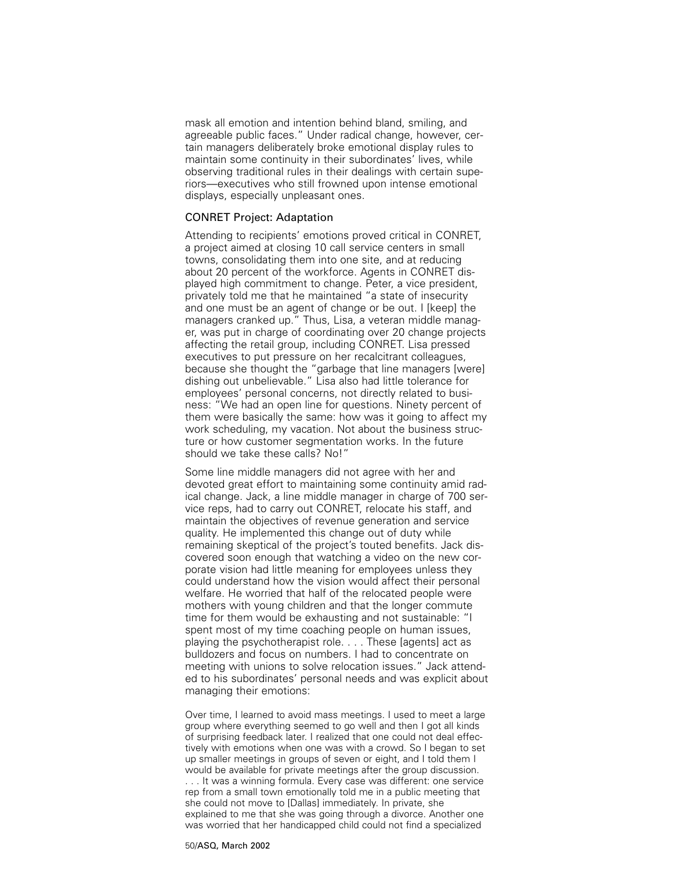mask all emotion and intention behind bland, smiling, and agreeable public faces." Under radical change, however, certain managers deliberately broke emotional display rules to maintain some continuity in their subordinates' lives, while observing traditional rules in their dealings with certain superiors—executives who still frowned upon intense emotional displays, especially unpleasant ones.

# CONRET Project: Adaptation

Attending to recipients' emotions proved critical in CONRET, a project aimed at closing 10 call service centers in small towns, consolidating them into one site, and at reducing about 20 percent of the workforce. Agents in CONRET displayed high commitment to change. Peter, a vice president, privately told me that he maintained "a state of insecurity and one must be an agent of change or be out. I [keep] the managers cranked up." Thus, Lisa, a veteran middle manager, was put in charge of coordinating over 20 change projects affecting the retail group, including CONRET. Lisa pressed executives to put pressure on her recalcitrant colleagues, because she thought the "garbage that line managers [were] dishing out unbelievable." Lisa also had little tolerance for employees' personal concerns, not directly related to business: "We had an open line for questions. Ninety percent of them were basically the same: how was it going to affect my work scheduling, my vacation. Not about the business structure or how customer segmentation works. In the future should we take these calls? No!"

Some line middle managers did not agree with her and devoted great effort to maintaining some continuity amid radical change. Jack, a line middle manager in charge of 700 service reps, had to carry out CONRET, relocate his staff, and maintain the objectives of revenue generation and service quality. He implemented this change out of duty while remaining skeptical of the project's touted benefits. Jack discovered soon enough that watching a video on the new corporate vision had little meaning for employees unless they could understand how the vision would affect their personal welfare. He worried that half of the relocated people were mothers with young children and that the longer commute time for them would be exhausting and not sustainable: "I spent most of my time coaching people on human issues, playing the psychotherapist role. . . . These [agents] act as bulldozers and focus on numbers. I had to concentrate on meeting with unions to solve relocation issues." Jack attended to his subordinates' personal needs and was explicit about managing their emotions:

Over time, I learned to avoid mass meetings. I used to meet a large group where everything seemed to go well and then I got all kinds of surprising feedback later. I realized that one could not deal effectively with emotions when one was with a crowd. So I began to set up smaller meetings in groups of seven or eight, and I told them I would be available for private meetings after the group discussion. . . . It was a winning formula. Every case was different: one service rep from a small town emotionally told me in a public meeting that she could not move to [Dallas] immediately. In private, she explained to me that she was going through a divorce. Another one was worried that her handicapped child could not find a specialized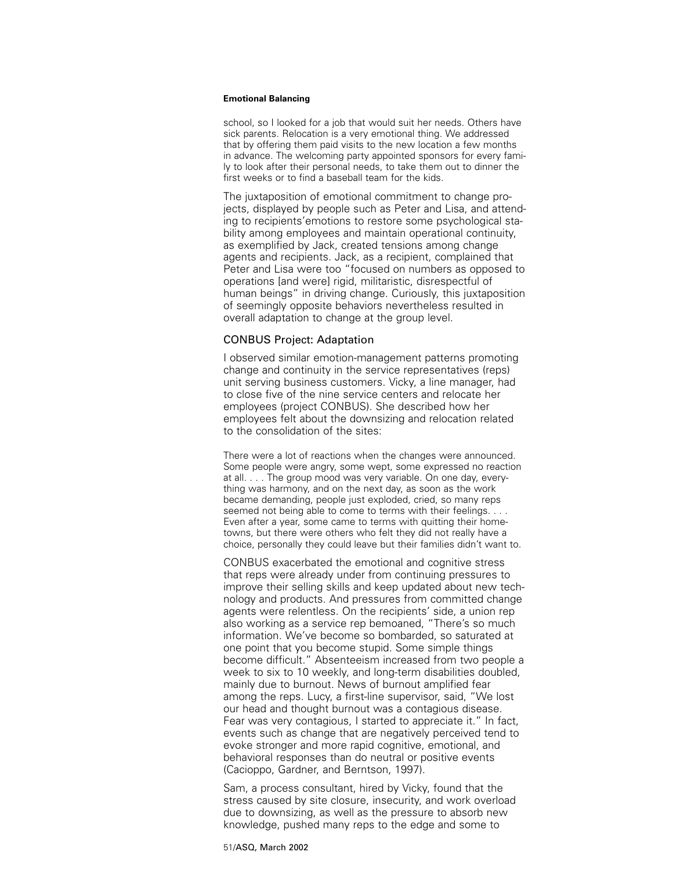school, so I looked for a job that would suit her needs. Others have sick parents. Relocation is a very emotional thing. We addressed that by offering them paid visits to the new location a few months in advance. The welcoming party appointed sponsors for every family to look after their personal needs, to take them out to dinner the first weeks or to find a baseball team for the kids.

The juxtaposition of emotional commitment to change projects, displayed by people such as Peter and Lisa, and attending to recipients'emotions to restore some psychological stability among employees and maintain operational continuity, as exemplified by Jack, created tensions among change agents and recipients. Jack, as a recipient, complained that Peter and Lisa were too "focused on numbers as opposed to operations [and were] rigid, militaristic, disrespectful of human beings" in driving change. Curiously, this juxtaposition of seemingly opposite behaviors nevertheless resulted in overall adaptation to change at the group level.

# CONBUS Project: Adaptation

I observed similar emotion-management patterns promoting change and continuity in the service representatives (reps) unit serving business customers. Vicky, a line manager, had to close five of the nine service centers and relocate her employees (project CONBUS). She described how her employees felt about the downsizing and relocation related to the consolidation of the sites:

There were a lot of reactions when the changes were announced. Some people were angry, some wept, some expressed no reaction at all. . . . The group mood was very variable. On one day, everything was harmony, and on the next day, as soon as the work became demanding, people just exploded, cried, so many reps seemed not being able to come to terms with their feelings. . . . Even after a year, some came to terms with quitting their hometowns, but there were others who felt they did not really have a choice, personally they could leave but their families didn't want to.

CONBUS exacerbated the emotional and cognitive stress that reps were already under from continuing pressures to improve their selling skills and keep updated about new technology and products. And pressures from committed change agents were relentless. On the recipients' side, a union rep also working as a service rep bemoaned, "There's so much information. We've become so bombarded, so saturated at one point that you become stupid. Some simple things become difficult." Absenteeism increased from two people a week to six to 10 weekly, and long-term disabilities doubled, mainly due to burnout. News of burnout amplified fear among the reps. Lucy, a first-line supervisor, said, "We lost our head and thought burnout was a contagious disease. Fear was very contagious, I started to appreciate it." In fact, events such as change that are negatively perceived tend to evoke stronger and more rapid cognitive, emotional, and behavioral responses than do neutral or positive events (Cacioppo, Gardner, and Berntson, 1997).

Sam, a process consultant, hired by Vicky, found that the stress caused by site closure, insecurity, and work overload due to downsizing, as well as the pressure to absorb new knowledge, pushed many reps to the edge and some to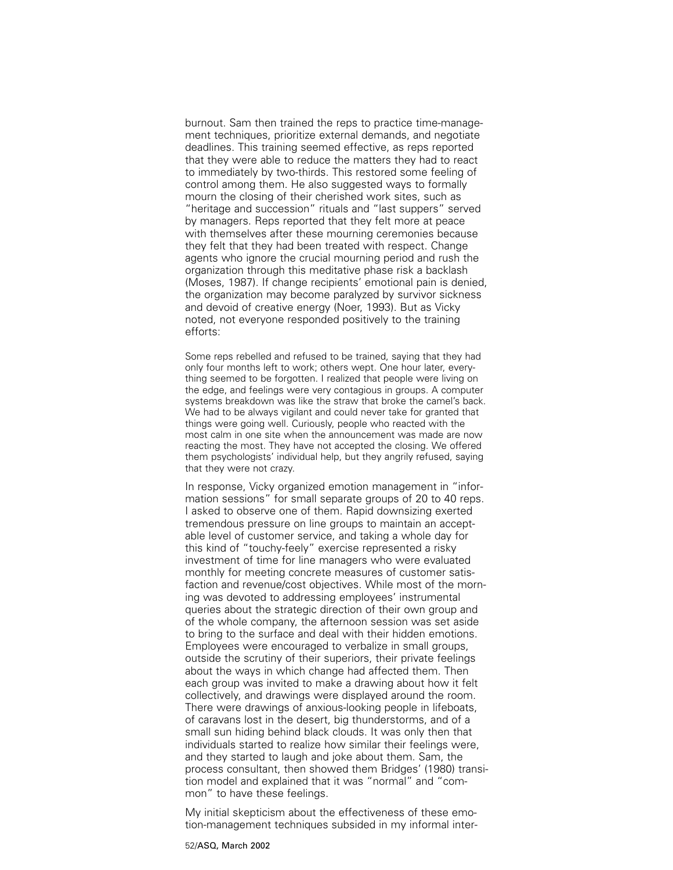burnout. Sam then trained the reps to practice time-management techniques, prioritize external demands, and negotiate deadlines. This training seemed effective, as reps reported that they were able to reduce the matters they had to react to immediately by two-thirds. This restored some feeling of control among them. He also suggested ways to formally mourn the closing of their cherished work sites, such as "heritage and succession" rituals and "last suppers" served by managers. Reps reported that they felt more at peace with themselves after these mourning ceremonies because they felt that they had been treated with respect. Change agents who ignore the crucial mourning period and rush the organization through this meditative phase risk a backlash (Moses, 1987). If change recipients' emotional pain is denied, the organization may become paralyzed by survivor sickness and devoid of creative energy (Noer, 1993). But as Vicky noted, not everyone responded positively to the training efforts:

Some reps rebelled and refused to be trained, saying that they had only four months left to work; others wept. One hour later, everything seemed to be forgotten. I realized that people were living on the edge, and feelings were very contagious in groups. A computer systems breakdown was like the straw that broke the camel's back. We had to be always vigilant and could never take for granted that things were going well. Curiously, people who reacted with the most calm in one site when the announcement was made are now reacting the most. They have not accepted the closing. We offered them psychologists' individual help, but they angrily refused, saying that they were not crazy.

In response, Vicky organized emotion management in "information sessions" for small separate groups of 20 to 40 reps. I asked to observe one of them. Rapid downsizing exerted tremendous pressure on line groups to maintain an acceptable level of customer service, and taking a whole day for this kind of "touchy-feely" exercise represented a risky investment of time for line managers who were evaluated monthly for meeting concrete measures of customer satisfaction and revenue/cost objectives. While most of the morning was devoted to addressing employees' instrumental queries about the strategic direction of their own group and of the whole company, the afternoon session was set aside to bring to the surface and deal with their hidden emotions. Employees were encouraged to verbalize in small groups, outside the scrutiny of their superiors, their private feelings about the ways in which change had affected them. Then each group was invited to make a drawing about how it felt collectively, and drawings were displayed around the room. There were drawings of anxious-looking people in lifeboats, of caravans lost in the desert, big thunderstorms, and of a small sun hiding behind black clouds. It was only then that individuals started to realize how similar their feelings were, and they started to laugh and joke about them. Sam, the process consultant, then showed them Bridges' (1980) transition model and explained that it was "normal" and "common" to have these feelings.

My initial skepticism about the effectiveness of these emotion-management techniques subsided in my informal inter-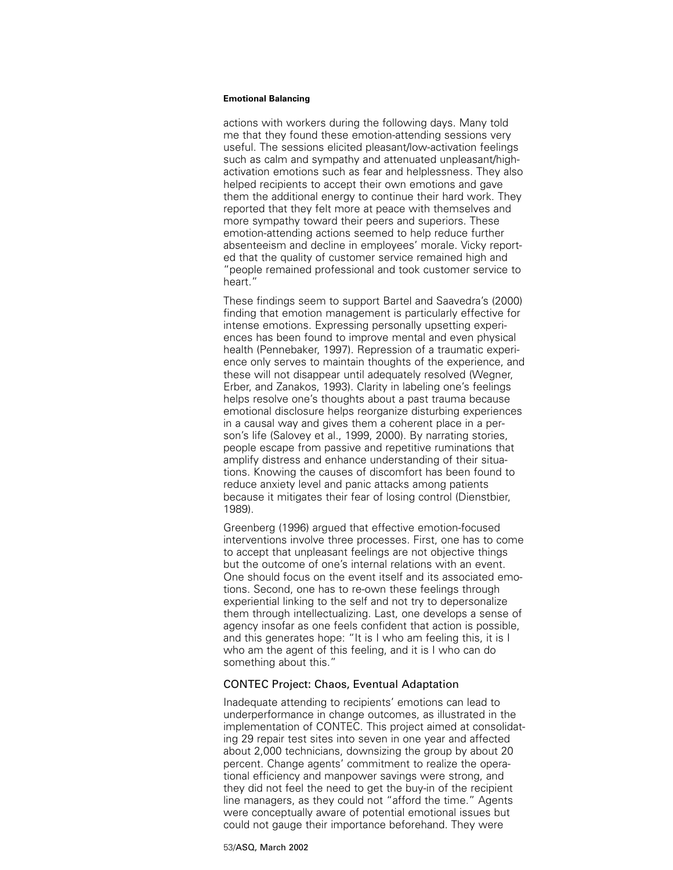actions with workers during the following days. Many told me that they found these emotion-attending sessions very useful. The sessions elicited pleasant/low-activation feelings such as calm and sympathy and attenuated unpleasant/highactivation emotions such as fear and helplessness. They also helped recipients to accept their own emotions and gave them the additional energy to continue their hard work. They reported that they felt more at peace with themselves and more sympathy toward their peers and superiors. These emotion-attending actions seemed to help reduce further absenteeism and decline in employees' morale. Vicky reported that the quality of customer service remained high and "people remained professional and took customer service to heart."

These findings seem to support Bartel and Saavedra's (2000) finding that emotion management is particularly effective for intense emotions. Expressing personally upsetting experiences has been found to improve mental and even physical health (Pennebaker, 1997). Repression of a traumatic experience only serves to maintain thoughts of the experience, and these will not disappear until adequately resolved (Wegner, Erber, and Zanakos, 1993). Clarity in labeling one's feelings helps resolve one's thoughts about a past trauma because emotional disclosure helps reorganize disturbing experiences in a causal way and gives them a coherent place in a person's life (Salovey et al., 1999, 2000). By narrating stories, people escape from passive and repetitive ruminations that amplify distress and enhance understanding of their situations. Knowing the causes of discomfort has been found to reduce anxiety level and panic attacks among patients because it mitigates their fear of losing control (Dienstbier, 1989).

Greenberg (1996) argued that effective emotion-focused interventions involve three processes. First, one has to come to accept that unpleasant feelings are not objective things but the outcome of one's internal relations with an event. One should focus on the event itself and its associated emotions. Second, one has to re-own these feelings through experiential linking to the self and not try to depersonalize them through intellectualizing. Last, one develops a sense of agency insofar as one feels confident that action is possible, and this generates hope: "It is I who am feeling this, it is I who am the agent of this feeling, and it is I who can do something about this."

# CONTEC Project: Chaos, Eventual Adaptation

Inadequate attending to recipients' emotions can lead to underperformance in change outcomes, as illustrated in the implementation of CONTEC. This project aimed at consolidating 29 repair test sites into seven in one year and affected about 2,000 technicians, downsizing the group by about 20 percent. Change agents' commitment to realize the operational efficiency and manpower savings were strong, and they did not feel the need to get the buy-in of the recipient line managers, as they could not "afford the time." Agents were conceptually aware of potential emotional issues but could not gauge their importance beforehand. They were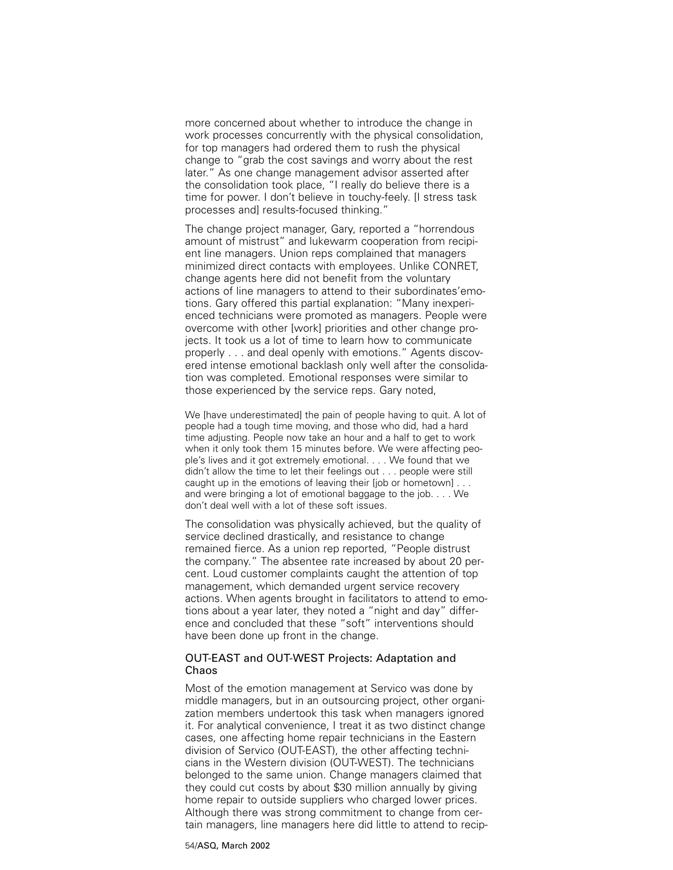more concerned about whether to introduce the change in work processes concurrently with the physical consolidation, for top managers had ordered them to rush the physical change to "grab the cost savings and worry about the rest later." As one change management advisor asserted after the consolidation took place, "I really do believe there is a time for power. I don't believe in touchy-feely. [I stress task processes and] results-focused thinking."

The change project manager, Gary, reported a "horrendous amount of mistrust" and lukewarm cooperation from recipient line managers. Union reps complained that managers minimized direct contacts with employees. Unlike CONRET, change agents here did not benefit from the voluntary actions of line managers to attend to their subordinates'emotions. Gary offered this partial explanation: "Many inexperienced technicians were promoted as managers. People were overcome with other [work] priorities and other change projects. It took us a lot of time to learn how to communicate properly . . . and deal openly with emotions." Agents discovered intense emotional backlash only well after the consolidation was completed. Emotional responses were similar to those experienced by the service reps. Gary noted,

We Ihave underestimated] the pain of people having to quit. A lot of people had a tough time moving, and those who did, had a hard time adjusting. People now take an hour and a half to get to work when it only took them 15 minutes before. We were affecting people's lives and it got extremely emotional. . . . We found that we didn't allow the time to let their feelings out . . . people were still caught up in the emotions of leaving their [job or hometown] . . . and were bringing a lot of emotional baggage to the job. . . . We don't deal well with a lot of these soft issues.

The consolidation was physically achieved, but the quality of service declined drastically, and resistance to change remained fierce. As a union rep reported, "People distrust the company." The absentee rate increased by about 20 percent. Loud customer complaints caught the attention of top management, which demanded urgent service recovery actions. When agents brought in facilitators to attend to emotions about a year later, they noted a "night and day" difference and concluded that these "soft" interventions should have been done up front in the change.

# OUT-EAST and OUT-WEST Projects: Adaptation and Chaos

Most of the emotion management at Servico was done by middle managers, but in an outsourcing project, other organization members undertook this task when managers ignored it. For analytical convenience, I treat it as two distinct change cases, one affecting home repair technicians in the Eastern division of Servico (OUT-EAST), the other affecting technicians in the Western division (OUT-WEST). The technicians belonged to the same union. Change managers claimed that they could cut costs by about \$30 million annually by giving home repair to outside suppliers who charged lower prices. Although there was strong commitment to change from certain managers, line managers here did little to attend to recip-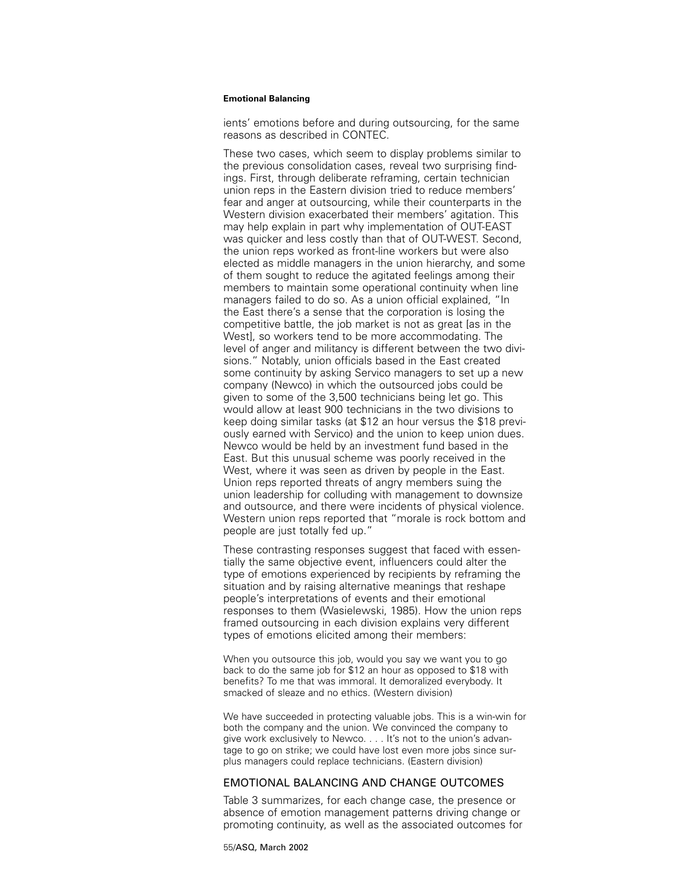ients' emotions before and during outsourcing, for the same reasons as described in CONTEC.

These two cases, which seem to display problems similar to the previous consolidation cases, reveal two surprising findings. First, through deliberate reframing, certain technician union reps in the Eastern division tried to reduce members' fear and anger at outsourcing, while their counterparts in the Western division exacerbated their members' agitation. This may help explain in part why implementation of OUT-EAST was quicker and less costly than that of OUT-WEST. Second, the union reps worked as front-line workers but were also elected as middle managers in the union hierarchy, and some of them sought to reduce the agitated feelings among their members to maintain some operational continuity when line managers failed to do so. As a union official explained, "In the East there's a sense that the corporation is losing the competitive battle, the job market is not as great [as in the West], so workers tend to be more accommodating. The level of anger and militancy is different between the two divisions." Notably, union officials based in the East created some continuity by asking Servico managers to set up a new company (Newco) in which the outsourced jobs could be given to some of the 3,500 technicians being let go. This would allow at least 900 technicians in the two divisions to keep doing similar tasks (at \$12 an hour versus the \$18 previously earned with Servico) and the union to keep union dues. Newco would be held by an investment fund based in the East. But this unusual scheme was poorly received in the West, where it was seen as driven by people in the East. Union reps reported threats of angry members suing the union leadership for colluding with management to downsize and outsource, and there were incidents of physical violence. Western union reps reported that "morale is rock bottom and people are just totally fed up."

These contrasting responses suggest that faced with essentially the same objective event, influencers could alter the type of emotions experienced by recipients by reframing the situation and by raising alternative meanings that reshape people's interpretations of events and their emotional responses to them (Wasielewski, 1985). How the union reps framed outsourcing in each division explains very different types of emotions elicited among their members:

When you outsource this job, would you say we want you to go back to do the same job for \$12 an hour as opposed to \$18 with benefits? To me that was immoral. It demoralized everybody. It smacked of sleaze and no ethics. (Western division)

We have succeeded in protecting valuable jobs. This is a win-win for both the company and the union. We convinced the company to give work exclusively to Newco. . . . It's not to the union's advantage to go on strike; we could have lost even more jobs since surplus managers could replace technicians. (Eastern division)

# EMOTIONAL BALANCING AND CHANGE OUTCOMES

Table 3 summarizes, for each change case, the presence or absence of emotion management patterns driving change or promoting continuity, as well as the associated outcomes for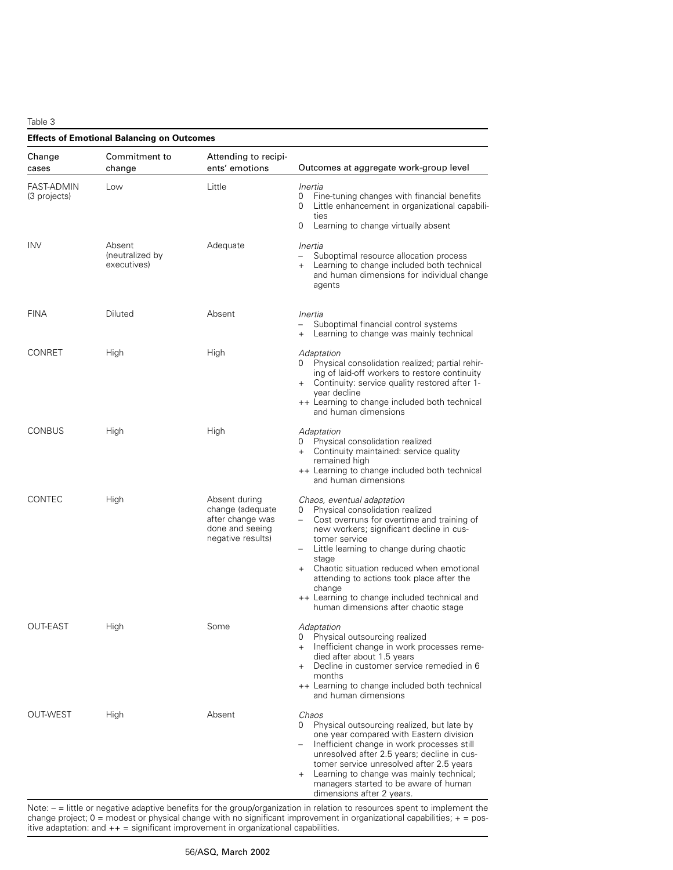Table 3

| <b>Effects of Emotional Balancing on Outcomes</b> |                                          |                                                                                               |                                                                                                                                                                                                                                                                                                                                                                                                                                                |
|---------------------------------------------------|------------------------------------------|-----------------------------------------------------------------------------------------------|------------------------------------------------------------------------------------------------------------------------------------------------------------------------------------------------------------------------------------------------------------------------------------------------------------------------------------------------------------------------------------------------------------------------------------------------|
| Change<br>cases                                   | Commitment to<br>change                  | Attending to recipi-<br>ents' emotions                                                        | Outcomes at aggregate work-group level                                                                                                                                                                                                                                                                                                                                                                                                         |
| <b>FAST-ADMIN</b><br>(3 projects)                 | Low                                      | Little                                                                                        | Inertia<br>Fine-tuning changes with financial benefits<br>0<br>Little enhancement in organizational capabili-<br>0<br>ties<br>0<br>Learning to change virtually absent                                                                                                                                                                                                                                                                         |
| <b>INV</b>                                        | Absent<br>(neutralized by<br>executives) | Adequate                                                                                      | Inertia<br>Suboptimal resource allocation process<br>$\equiv$<br>+ Learning to change included both technical<br>and human dimensions for individual change<br>agents                                                                                                                                                                                                                                                                          |
| <b>FINA</b>                                       | Diluted                                  | Absent                                                                                        | Inertia<br>Suboptimal financial control systems<br>Learning to change was mainly technical<br>$+$                                                                                                                                                                                                                                                                                                                                              |
| CONRET                                            | High                                     | High                                                                                          | Adaptation<br>Physical consolidation realized; partial rehir-<br>0<br>ing of laid-off workers to restore continuity<br>+ Continuity: service quality restored after 1-<br>year decline<br>++ Learning to change included both technical<br>and human dimensions                                                                                                                                                                                |
| <b>CONBUS</b>                                     | High                                     | High                                                                                          | Adaptation<br>Physical consolidation realized<br>0<br>Continuity maintained: service quality<br>$+$<br>remained high<br>++ Learning to change included both technical<br>and human dimensions                                                                                                                                                                                                                                                  |
| <b>CONTEC</b>                                     | High                                     | Absent during<br>change (adequate<br>after change was<br>done and seeing<br>negative results) | Chaos, eventual adaptation<br>Physical consolidation realized<br>0<br>$\sim$<br>Cost overruns for overtime and training of<br>new workers; significant decline in cus-<br>tomer service<br>Little learning to change during chaotic<br>stage<br>Chaotic situation reduced when emotional<br>$+$<br>attending to actions took place after the<br>change<br>++ Learning to change included technical and<br>human dimensions after chaotic stage |
| OUT-EAST                                          | High                                     | Some                                                                                          | Adaptation<br>Physical outsourcing realized<br>Inefficient change in work processes reme-<br>$+$<br>died after about 1.5 years<br>Decline in customer service remedied in 6<br>$+$<br>months<br>++ Learning to change included both technical<br>and human dimensions                                                                                                                                                                          |
| <b>OUT-WEST</b>                                   | High                                     | Absent                                                                                        | Chaos<br>Physical outsourcing realized, but late by<br>0<br>one year compared with Eastern division<br>Inefficient change in work processes still<br>$-$<br>unresolved after 2.5 years; decline in cus-<br>tomer service unresolved after 2.5 years<br>Learning to change was mainly technical;<br>$+$<br>managers started to be aware of human<br>dimensions after 2 years.                                                                   |

Note:  $-$  = little or negative adaptive benefits for the group/organization in relation to resources spent to implement the change project; 0 = modest or physical change with no significant improvement in organizational capabilities; + = positive adaptation: and ++ = significant improvement in organizational capabilities.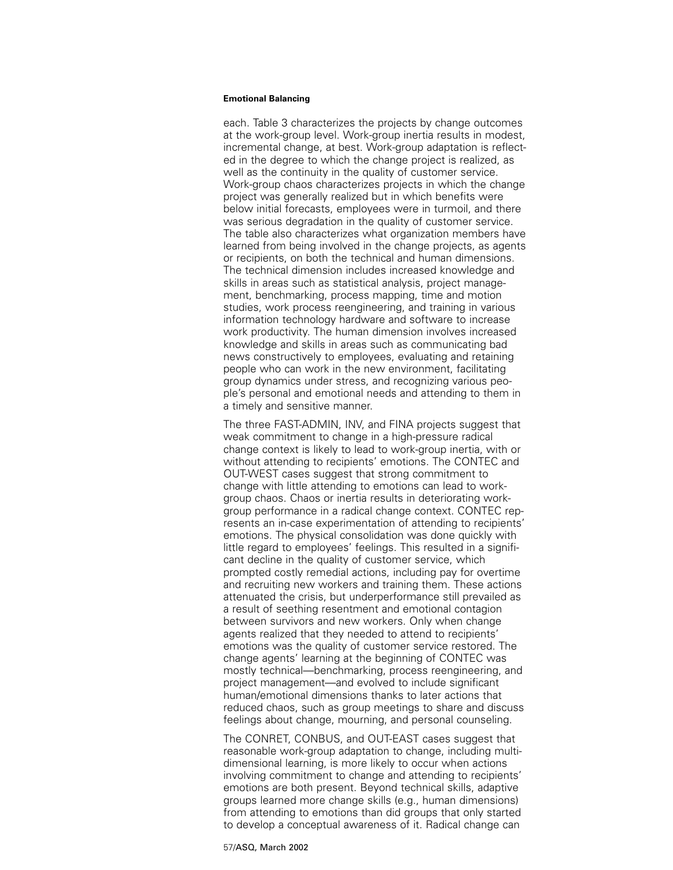each. Table 3 characterizes the projects by change outcomes at the work-group level. Work-group inertia results in modest, incremental change, at best. Work-group adaptation is reflected in the degree to which the change project is realized, as well as the continuity in the quality of customer service. Work-group chaos characterizes projects in which the change project was generally realized but in which benefits were below initial forecasts, employees were in turmoil, and there was serious degradation in the quality of customer service. The table also characterizes what organization members have learned from being involved in the change projects, as agents or recipients, on both the technical and human dimensions. The technical dimension includes increased knowledge and skills in areas such as statistical analysis, project management, benchmarking, process mapping, time and motion studies, work process reengineering, and training in various information technology hardware and software to increase work productivity. The human dimension involves increased knowledge and skills in areas such as communicating bad news constructively to employees, evaluating and retaining people who can work in the new environment, facilitating group dynamics under stress, and recognizing various people's personal and emotional needs and attending to them in a timely and sensitive manner.

The three FAST-ADMIN, INV, and FINA projects suggest that weak commitment to change in a high-pressure radical change context is likely to lead to work-group inertia, with or without attending to recipients' emotions. The CONTEC and OUT-WEST cases suggest that strong commitment to change with little attending to emotions can lead to workgroup chaos. Chaos or inertia results in deteriorating workgroup performance in a radical change context. CONTEC represents an in-case experimentation of attending to recipients' emotions. The physical consolidation was done quickly with little regard to employees' feelings. This resulted in a significant decline in the quality of customer service, which prompted costly remedial actions, including pay for overtime and recruiting new workers and training them. These actions attenuated the crisis, but underperformance still prevailed as a result of seething resentment and emotional contagion between survivors and new workers. Only when change agents realized that they needed to attend to recipients' emotions was the quality of customer service restored. The change agents' learning at the beginning of CONTEC was mostly technical—benchmarking, process reengineering, and project management—and evolved to include significant human/emotional dimensions thanks to later actions that reduced chaos, such as group meetings to share and discuss feelings about change, mourning, and personal counseling.

The CONRET, CONBUS, and OUT-EAST cases suggest that reasonable work-group adaptation to change, including multidimensional learning, is more likely to occur when actions involving commitment to change and attending to recipients' emotions are both present. Beyond technical skills, adaptive groups learned more change skills (e.g., human dimensions) from attending to emotions than did groups that only started to develop a conceptual awareness of it. Radical change can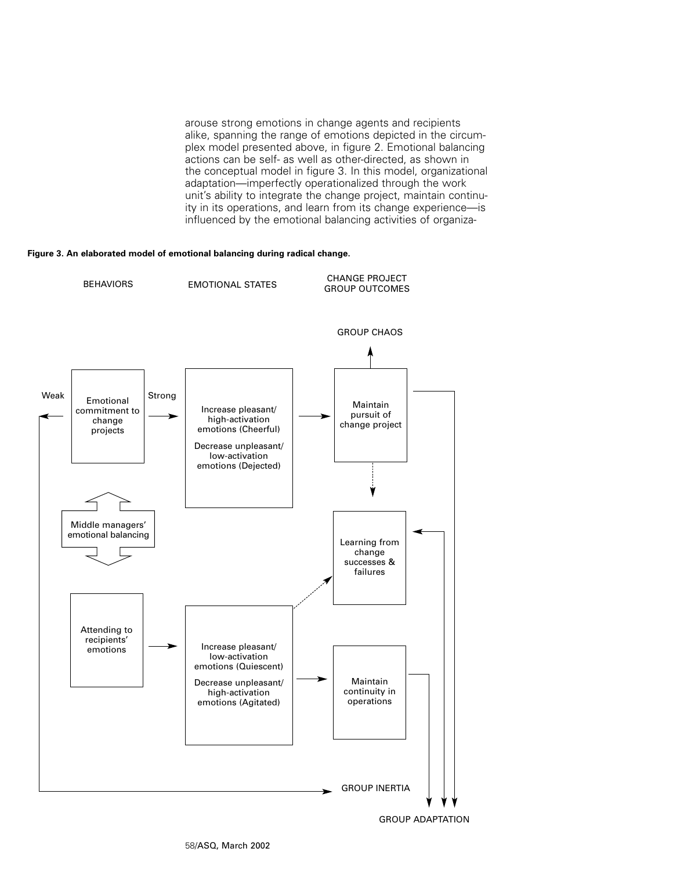arouse strong emotions in change agents and recipients alike, spanning the range of emotions depicted in the circumplex model presented above, in figure 2. Emotional balancing actions can be self- as well as other-directed, as shown in the conceptual model in figure 3. In this model, organizational adaptation—imperfectly operationalized through the work unit's ability to integrate the change project, maintain continuity in its operations, and learn from its change experience—is influenced by the emotional balancing activities of organiza-

### **Figure 3. An elaborated model of emotional balancing during radical change.**



GROUP ADAPTATION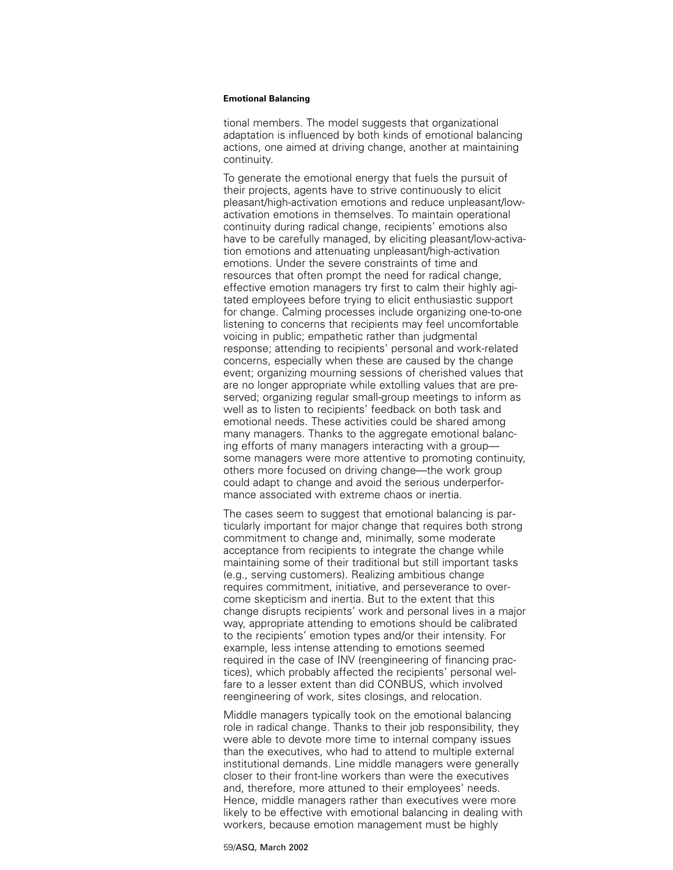tional members. The model suggests that organizational adaptation is influenced by both kinds of emotional balancing actions, one aimed at driving change, another at maintaining continuity.

To generate the emotional energy that fuels the pursuit of their projects, agents have to strive continuously to elicit pleasant/high-activation emotions and reduce unpleasant/lowactivation emotions in themselves. To maintain operational continuity during radical change, recipients' emotions also have to be carefully managed, by eliciting pleasant/low-activation emotions and attenuating unpleasant/high-activation emotions. Under the severe constraints of time and resources that often prompt the need for radical change, effective emotion managers try first to calm their highly agitated employees before trying to elicit enthusiastic support for change. Calming processes include organizing one-to-one listening to concerns that recipients may feel uncomfortable voicing in public; empathetic rather than judgmental response; attending to recipients' personal and work-related concerns, especially when these are caused by the change event; organizing mourning sessions of cherished values that are no longer appropriate while extolling values that are preserved; organizing regular small-group meetings to inform as well as to listen to recipients' feedback on both task and emotional needs. These activities could be shared among many managers. Thanks to the aggregate emotional balancing efforts of many managers interacting with a group some managers were more attentive to promoting continuity, others more focused on driving change—the work group could adapt to change and avoid the serious underperformance associated with extreme chaos or inertia.

The cases seem to suggest that emotional balancing is particularly important for major change that requires both strong commitment to change and, minimally, some moderate acceptance from recipients to integrate the change while maintaining some of their traditional but still important tasks (e.g., serving customers). Realizing ambitious change requires commitment, initiative, and perseverance to overcome skepticism and inertia. But to the extent that this change disrupts recipients' work and personal lives in a major way, appropriate attending to emotions should be calibrated to the recipients' emotion types and/or their intensity. For example, less intense attending to emotions seemed required in the case of INV (reengineering of financing practices), which probably affected the recipients' personal welfare to a lesser extent than did CONBUS, which involved reengineering of work, sites closings, and relocation.

Middle managers typically took on the emotional balancing role in radical change. Thanks to their job responsibility, they were able to devote more time to internal company issues than the executives, who had to attend to multiple external institutional demands. Line middle managers were generally closer to their front-line workers than were the executives and, therefore, more attuned to their employees' needs. Hence, middle managers rather than executives were more likely to be effective with emotional balancing in dealing with workers, because emotion management must be highly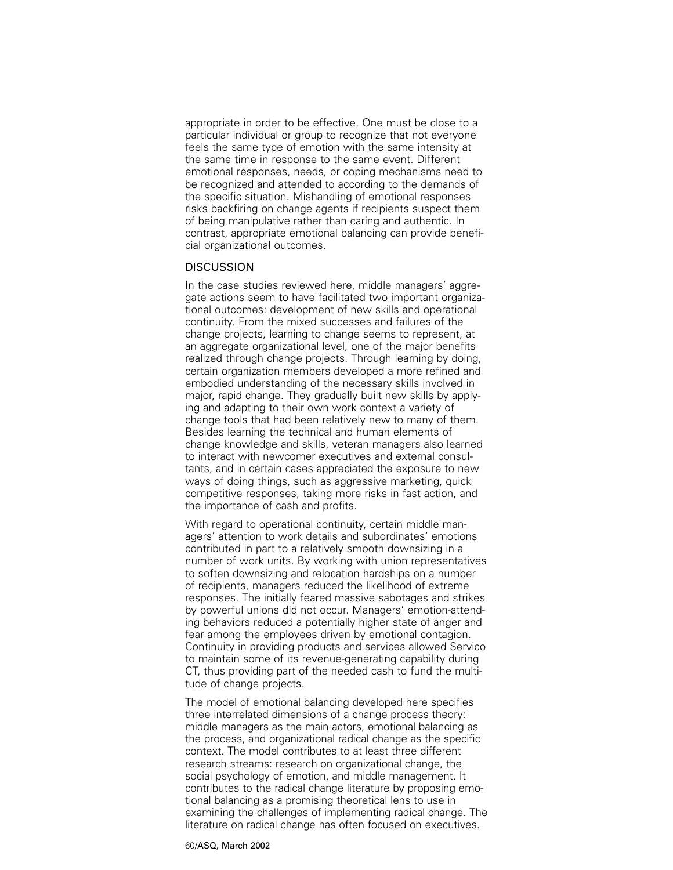appropriate in order to be effective. One must be close to a particular individual or group to recognize that not everyone feels the same type of emotion with the same intensity at the same time in response to the same event. Different emotional responses, needs, or coping mechanisms need to be recognized and attended to according to the demands of the specific situation. Mishandling of emotional responses risks backfiring on change agents if recipients suspect them of being manipulative rather than caring and authentic. In contrast, appropriate emotional balancing can provide beneficial organizational outcomes.

# **DISCUSSION**

In the case studies reviewed here, middle managers' aggregate actions seem to have facilitated two important organizational outcomes: development of new skills and operational continuity. From the mixed successes and failures of the change projects, learning to change seems to represent, at an aggregate organizational level, one of the major benefits realized through change projects. Through learning by doing, certain organization members developed a more refined and embodied understanding of the necessary skills involved in major, rapid change. They gradually built new skills by applying and adapting to their own work context a variety of change tools that had been relatively new to many of them. Besides learning the technical and human elements of change knowledge and skills, veteran managers also learned to interact with newcomer executives and external consultants, and in certain cases appreciated the exposure to new ways of doing things, such as aggressive marketing, quick competitive responses, taking more risks in fast action, and the importance of cash and profits.

With regard to operational continuity, certain middle managers' attention to work details and subordinates' emotions contributed in part to a relatively smooth downsizing in a number of work units. By working with union representatives to soften downsizing and relocation hardships on a number of recipients, managers reduced the likelihood of extreme responses. The initially feared massive sabotages and strikes by powerful unions did not occur. Managers' emotion-attending behaviors reduced a potentially higher state of anger and fear among the employees driven by emotional contagion. Continuity in providing products and services allowed Servico to maintain some of its revenue-generating capability during CT, thus providing part of the needed cash to fund the multitude of change projects.

The model of emotional balancing developed here specifies three interrelated dimensions of a change process theory: middle managers as the main actors, emotional balancing as the process, and organizational radical change as the specific context. The model contributes to at least three different research streams: research on organizational change, the social psychology of emotion, and middle management. It contributes to the radical change literature by proposing emotional balancing as a promising theoretical lens to use in examining the challenges of implementing radical change. The literature on radical change has often focused on executives.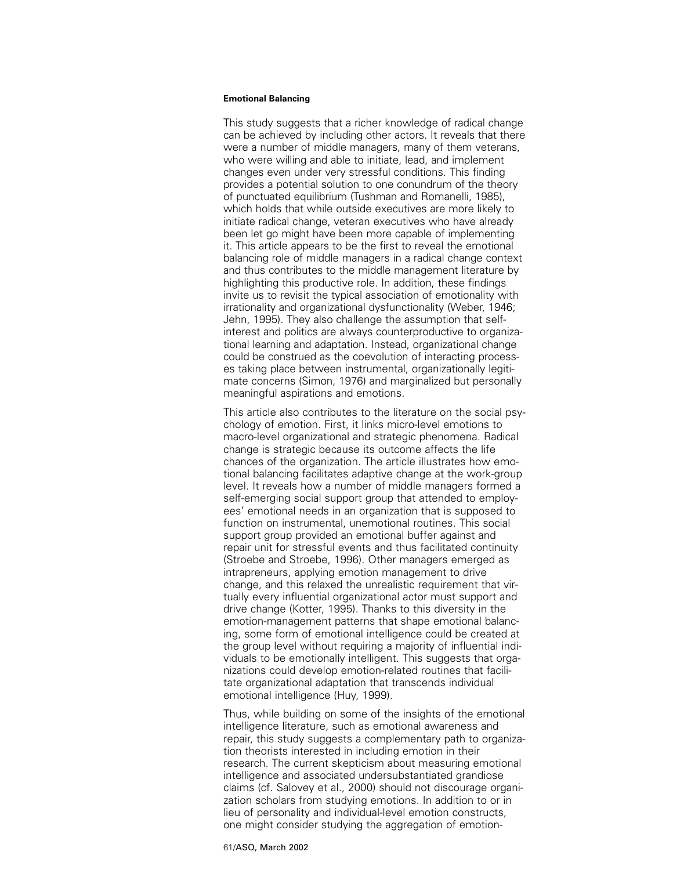This study suggests that a richer knowledge of radical change can be achieved by including other actors. It reveals that there were a number of middle managers, many of them veterans, who were willing and able to initiate, lead, and implement changes even under very stressful conditions. This finding provides a potential solution to one conundrum of the theory of punctuated equilibrium (Tushman and Romanelli, 1985), which holds that while outside executives are more likely to initiate radical change, veteran executives who have already been let go might have been more capable of implementing it. This article appears to be the first to reveal the emotional balancing role of middle managers in a radical change context and thus contributes to the middle management literature by highlighting this productive role. In addition, these findings invite us to revisit the typical association of emotionality with irrationality and organizational dysfunctionality (Weber, 1946; Jehn, 1995). They also challenge the assumption that selfinterest and politics are always counterproductive to organizational learning and adaptation. Instead, organizational change could be construed as the coevolution of interacting processes taking place between instrumental, organizationally legitimate concerns (Simon, 1976) and marginalized but personally meaningful aspirations and emotions.

This article also contributes to the literature on the social psychology of emotion. First, it links micro-level emotions to macro-level organizational and strategic phenomena. Radical change is strategic because its outcome affects the life chances of the organization. The article illustrates how emotional balancing facilitates adaptive change at the work-group level. It reveals how a number of middle managers formed a self-emerging social support group that attended to employees' emotional needs in an organization that is supposed to function on instrumental, unemotional routines. This social support group provided an emotional buffer against and repair unit for stressful events and thus facilitated continuity (Stroebe and Stroebe, 1996). Other managers emerged as intrapreneurs, applying emotion management to drive change, and this relaxed the unrealistic requirement that virtually every influential organizational actor must support and drive change (Kotter, 1995). Thanks to this diversity in the emotion-management patterns that shape emotional balancing, some form of emotional intelligence could be created at the group level without requiring a majority of influential individuals to be emotionally intelligent. This suggests that organizations could develop emotion-related routines that facilitate organizational adaptation that transcends individual emotional intelligence (Huy, 1999).

Thus, while building on some of the insights of the emotional intelligence literature, such as emotional awareness and repair, this study suggests a complementary path to organization theorists interested in including emotion in their research. The current skepticism about measuring emotional intelligence and associated undersubstantiated grandiose claims (cf. Salovey et al., 2000) should not discourage organization scholars from studying emotions. In addition to or in lieu of personality and individual-level emotion constructs, one might consider studying the aggregation of emotion-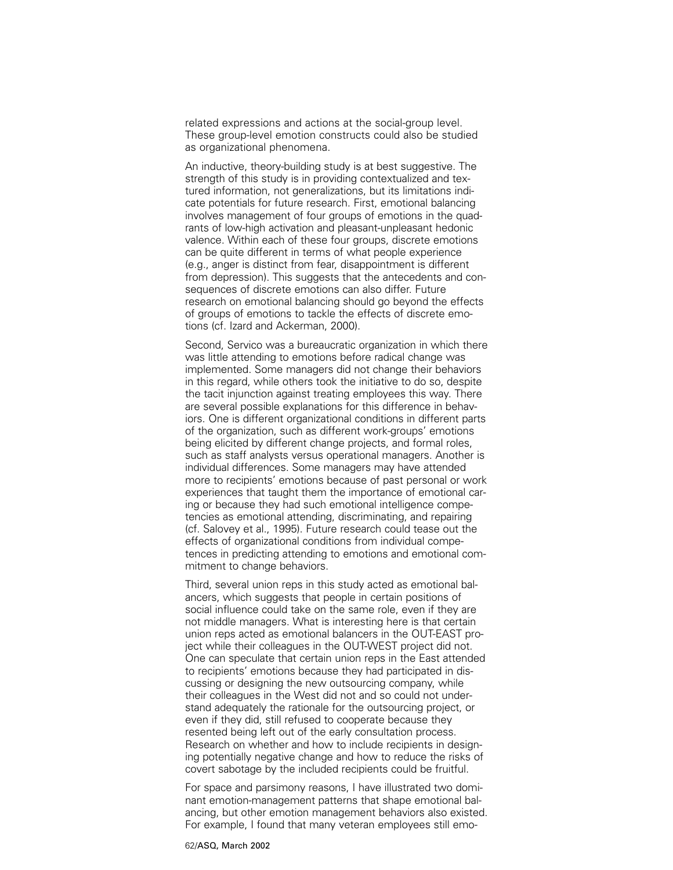related expressions and actions at the social-group level. These group-level emotion constructs could also be studied as organizational phenomena.

An inductive, theory-building study is at best suggestive. The strength of this study is in providing contextualized and textured information, not generalizations, but its limitations indicate potentials for future research. First, emotional balancing involves management of four groups of emotions in the quadrants of low-high activation and pleasant-unpleasant hedonic valence. Within each of these four groups, discrete emotions can be quite different in terms of what people experience (e.g., anger is distinct from fear, disappointment is different from depression). This suggests that the antecedents and consequences of discrete emotions can also differ. Future research on emotional balancing should go beyond the effects of groups of emotions to tackle the effects of discrete emotions (cf. Izard and Ackerman, 2000).

Second, Servico was a bureaucratic organization in which there was little attending to emotions before radical change was implemented. Some managers did not change their behaviors in this regard, while others took the initiative to do so, despite the tacit injunction against treating employees this way. There are several possible explanations for this difference in behaviors. One is different organizational conditions in different parts of the organization, such as different work-groups' emotions being elicited by different change projects, and formal roles, such as staff analysts versus operational managers. Another is individual differences. Some managers may have attended more to recipients' emotions because of past personal or work experiences that taught them the importance of emotional caring or because they had such emotional intelligence competencies as emotional attending, discriminating, and repairing (cf. Salovey et al., 1995). Future research could tease out the effects of organizational conditions from individual competences in predicting attending to emotions and emotional commitment to change behaviors.

Third, several union reps in this study acted as emotional balancers, which suggests that people in certain positions of social influence could take on the same role, even if they are not middle managers. What is interesting here is that certain union reps acted as emotional balancers in the OUT-EAST project while their colleagues in the OUT-WEST project did not. One can speculate that certain union reps in the East attended to recipients' emotions because they had participated in discussing or designing the new outsourcing company, while their colleagues in the West did not and so could not understand adequately the rationale for the outsourcing project, or even if they did, still refused to cooperate because they resented being left out of the early consultation process. Research on whether and how to include recipients in designing potentially negative change and how to reduce the risks of covert sabotage by the included recipients could be fruitful.

For space and parsimony reasons, I have illustrated two dominant emotion-management patterns that shape emotional balancing, but other emotion management behaviors also existed. For example, I found that many veteran employees still emo-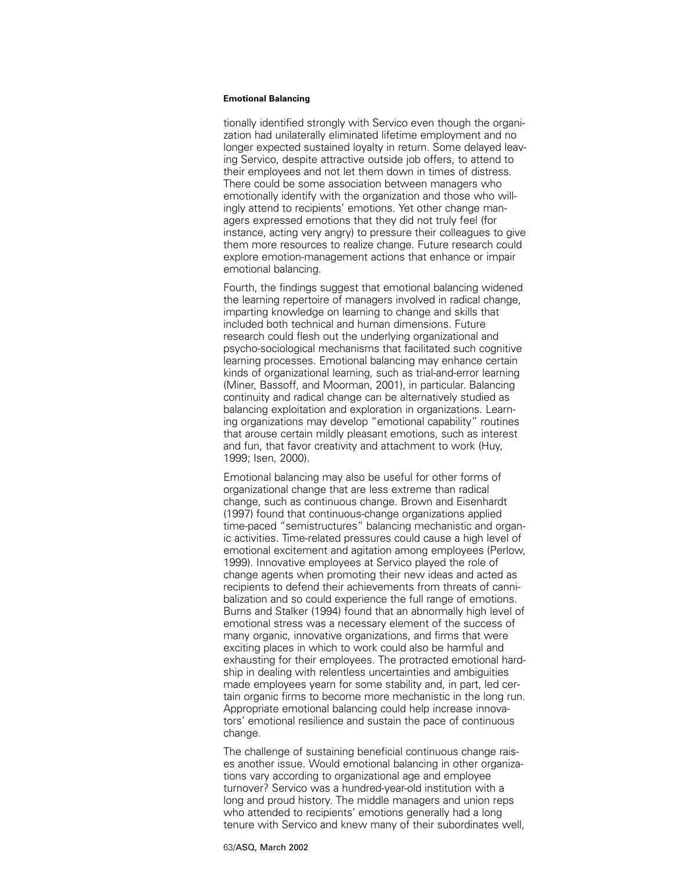tionally identified strongly with Servico even though the organization had unilaterally eliminated lifetime employment and no longer expected sustained loyalty in return. Some delayed leaving Servico, despite attractive outside job offers, to attend to their employees and not let them down in times of distress. There could be some association between managers who emotionally identify with the organization and those who willingly attend to recipients' emotions. Yet other change managers expressed emotions that they did not truly feel (for instance, acting very angry) to pressure their colleagues to give them more resources to realize change. Future research could explore emotion-management actions that enhance or impair emotional balancing.

Fourth, the findings suggest that emotional balancing widened the learning repertoire of managers involved in radical change, imparting knowledge on learning to change and skills that included both technical and human dimensions. Future research could flesh out the underlying organizational and psycho-sociological mechanisms that facilitated such cognitive learning processes. Emotional balancing may enhance certain kinds of organizational learning, such as trial-and-error learning (Miner, Bassoff, and Moorman, 2001), in particular. Balancing continuity and radical change can be alternatively studied as balancing exploitation and exploration in organizations. Learning organizations may develop "emotional capability" routines that arouse certain mildly pleasant emotions, such as interest and fun, that favor creativity and attachment to work (Huy, 1999; Isen, 2000).

Emotional balancing may also be useful for other forms of organizational change that are less extreme than radical change, such as continuous change. Brown and Eisenhardt (1997) found that continuous-change organizations applied time-paced "semistructures" balancing mechanistic and organic activities. Time-related pressures could cause a high level of emotional excitement and agitation among employees (Perlow, 1999). Innovative employees at Servico played the role of change agents when promoting their new ideas and acted as recipients to defend their achievements from threats of cannibalization and so could experience the full range of emotions. Burns and Stalker (1994) found that an abnormally high level of emotional stress was a necessary element of the success of many organic, innovative organizations, and firms that were exciting places in which to work could also be harmful and exhausting for their employees. The protracted emotional hardship in dealing with relentless uncertainties and ambiguities made employees yearn for some stability and, in part, led certain organic firms to become more mechanistic in the long run. Appropriate emotional balancing could help increase innovators' emotional resilience and sustain the pace of continuous change.

The challenge of sustaining beneficial continuous change raises another issue. Would emotional balancing in other organizations vary according to organizational age and employee turnover? Servico was a hundred-year-old institution with a long and proud history. The middle managers and union reps who attended to recipients' emotions generally had a long tenure with Servico and knew many of their subordinates well,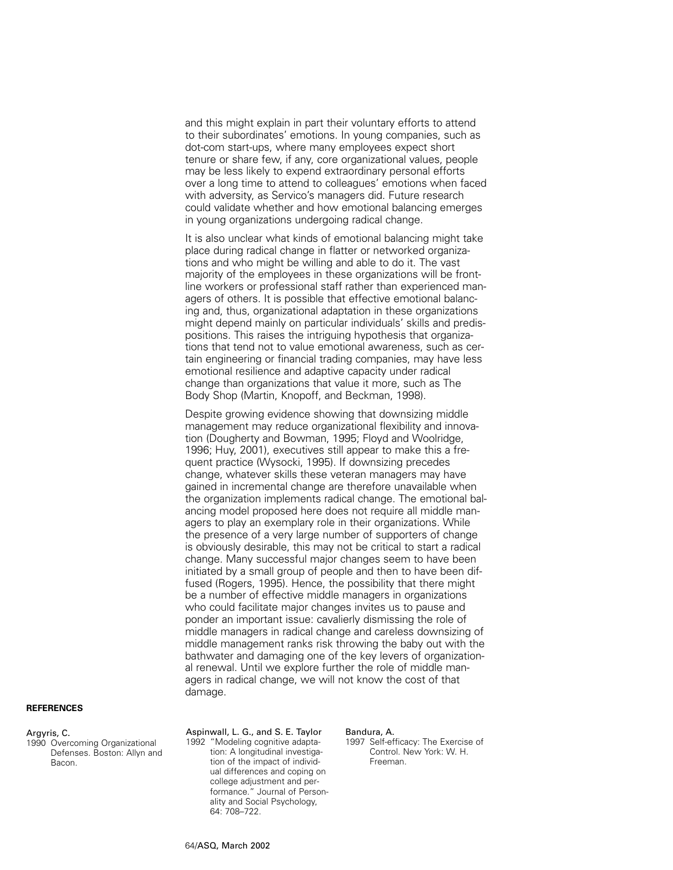and this might explain in part their voluntary efforts to attend to their subordinates' emotions. In young companies, such as dot-com start-ups, where many employees expect short tenure or share few, if any, core organizational values, people may be less likely to expend extraordinary personal efforts over a long time to attend to colleagues' emotions when faced with adversity, as Servico's managers did. Future research could validate whether and how emotional balancing emerges in young organizations undergoing radical change.

It is also unclear what kinds of emotional balancing might take place during radical change in flatter or networked organizations and who might be willing and able to do it. The vast majority of the employees in these organizations will be frontline workers or professional staff rather than experienced managers of others. It is possible that effective emotional balancing and, thus, organizational adaptation in these organizations might depend mainly on particular individuals' skills and predispositions. This raises the intriguing hypothesis that organizations that tend not to value emotional awareness, such as certain engineering or financial trading companies, may have less emotional resilience and adaptive capacity under radical change than organizations that value it more, such as The Body Shop (Martin, Knopoff, and Beckman, 1998).

Despite growing evidence showing that downsizing middle management may reduce organizational flexibility and innovation (Dougherty and Bowman, 1995; Floyd and Woolridge, 1996; Huy, 2001), executives still appear to make this a frequent practice (Wysocki, 1995). If downsizing precedes change, whatever skills these veteran managers may have gained in incremental change are therefore unavailable when the organization implements radical change. The emotional balancing model proposed here does not require all middle managers to play an exemplary role in their organizations. While the presence of a very large number of supporters of change is obviously desirable, this may not be critical to start a radical change. Many successful major changes seem to have been initiated by a small group of people and then to have been diffused (Rogers, 1995). Hence, the possibility that there might be a number of effective middle managers in organizations who could facilitate major changes invites us to pause and ponder an important issue: cavalierly dismissing the role of middle managers in radical change and careless downsizing of middle management ranks risk throwing the baby out with the bathwater and damaging one of the key levers of organizational renewal. Until we explore further the role of middle managers in radical change, we will not know the cost of that damage.

#### **REFERENCES**

#### Argyris, C.

1990 Overcoming Organizational Defenses. Boston: Allyn and Bacon.

Aspinwall, L. G., and S. E. Taylor 1992 "Modeling cognitive adaptation: A longitudinal investigation of the impact of individual differences and coping on college adjustment and performance." Journal of Personality and Social Psychology, 64: 708–722.

#### Bandura, A.

1997 Self-efficacy: The Exercise of Control. New York: W. H. Freeman.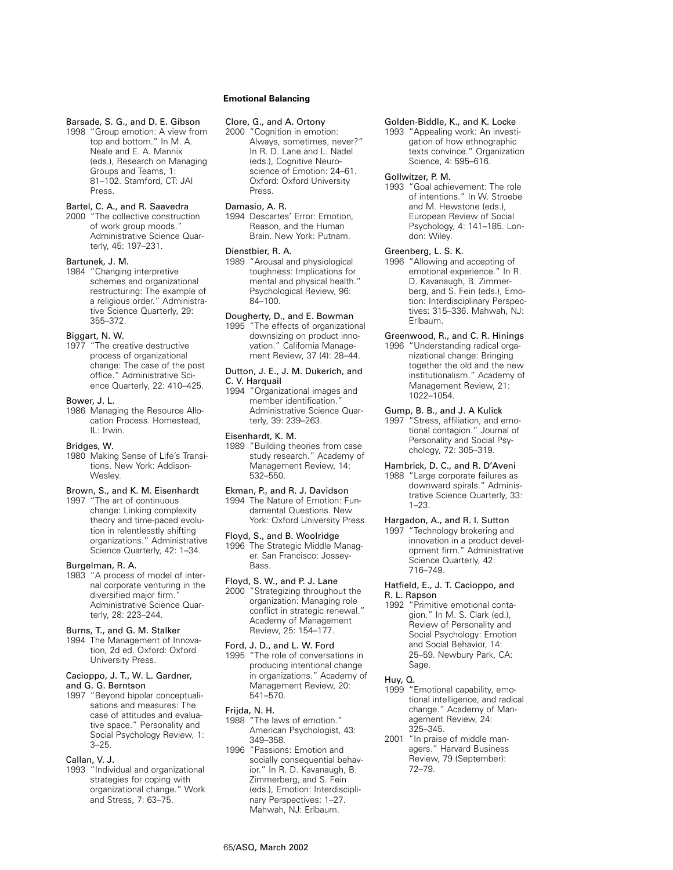# Barsade, S. G., and D. E. Gibson

1998 "Group emotion: A view from top and bottom." In M. A. Neale and E. A. Mannix (eds.), Research on Managing Groups and Teams, 1: 81–102. Stamford, CT: JAI Press.

## Bartel, C. A., and R. Saavedra

2000 "The collective construction of work group moods." Administrative Science Quarterly, 45: 197–231.

### Bartunek, J. M.

1984 "Changing interpretive schemes and organizational restructuring: The example of a religious order." Administrative Science Quarterly, 29: 355–372.

### Biggart, N. W.

1977 "The creative destructive process of organizational change: The case of the post office." Administrative Science Quarterly, 22: 410–425.

### Bower, J. L.

1986 Managing the Resource Allocation Process. Homestead, IL: Irwin.

#### Bridges, W.

1980 Making Sense of Life's Transitions. New York: Addison-**Wesley** 

# Brown, S., and K. M. Eisenhardt

1997 "The art of continuous change: Linking complexity theory and time-paced evolution in relentlesstly shifting organizations." Administrative Science Quarterly, 42: 1–34.

#### Burgelman, R. A.

1983 "A process of model of internal corporate venturing in the diversified major firm. Administrative Science Quarterly, 28: 223–244.

### Burns, T., and G. M. Stalker

1994 The Management of Innovation, 2d ed. Oxford: Oxford University Press.

#### Cacioppo, J. T., W. L. Gardner, and G. G. Berntson

1997 "Beyond bipolar conceptualisations and measures: The case of attitudes and evaluative space." Personality and Social Psychology Review, 1: 3–25.

### Callan, V. J.

1993 "Individual and organizational strategies for coping with organizational change." Work and Stress, 7: 63–75.

# **Emotional Balancing**

# Clore, G., and A. Ortony

2000 "Cognition in emotion: Always, sometimes, never?" In R. D. Lane and L. Nadel (eds.), Cognitive Neuroscience of Emotion: 24–61. Oxford: Oxford University Press.

## Damasio, A. R.

1994 Descartes' Error: Emotion, Reason, and the Human Brain. New York: Putnam.

### Dienstbier, R. A.

1989 "Arousal and physiological toughness: Implications for mental and physical health." Psychological Review, 96: 84–100.

## Dougherty, D., and E. Bowman

1995 "The effects of organizational downsizing on product innovation." California Management Review, 37 (4): 28–44.

### Dutton, J. E., J. M. Dukerich, and C. V. Harquail

1994 "Organizational images and member identification." Administrative Science Quarterly, 39: 239–263.

### Eisenhardt, K. M.

1989 "Building theories from case study research." Academy of Management Review, 14: 532–550.

#### Ekman, P., and R. J. Davidson

1994 The Nature of Emotion: Fundamental Questions. New York: Oxford University Press.

# Floyd, S., and B. Woolridge

1996 The Strategic Middle Manager. San Francisco: Jossey-**Bass** 

# Floyd, S. W., and P. J. Lane

2000 "Strategizing throughout the organization: Managing role conflict in strategic renewal." Academy of Management Review, 25: 154–177.

### Ford, J. D., and L. W. Ford

1995 "The role of conversations in producing intentional change in organizations." Academy of Management Review, 20: 541–570.

#### Frijda, N. H.

1988 "The laws of emotion." American Psychologist, 43: 349–358.

#### 1996 "Passions: Emotion and socially consequential behavior." In R. D. Kavanaugh, B. Zimmerberg, and S. Fein (eds.), Emotion: Interdisciplinary Perspectives: 1–27. Mahwah, NJ: Erlbaum.

#### Golden-Biddle, K., and K. Locke

1993 "Appealing work: An investigation of how ethnographic texts convince." Organization Science, 4: 595–616.

### Gollwitzer, P. M.

1993 "Goal achievement: The role of intentions." In W. Stroebe and M. Hewstone (eds.), European Review of Social Psychology, 4: 141–185. London: Wiley.

## Greenberg, L. S. K.

1996 "Allowing and accepting of emotional experience." In R. D. Kavanaugh, B. Zimmerberg, and S. Fein (eds.), Emotion: Interdisciplinary Perspectives: 315–336. Mahwah, NJ: Erlbaum.

# Greenwood, R., and C. R. Hinings

1996 "Understanding radical organizational change: Bringing together the old and the new institutionalism." Academy of Management Review, 21: 1022–1054.

#### Gump, B. B., and J. A Kulick

1997 "Stress, affiliation, and emotional contagion." Journal of Personality and Social Psychology, 72: 305–319.

### Hambrick, D. C., and R. D'Aveni

1988 "Large corporate failures as downward spirals." Administrative Science Quarterly, 33: 1–23.

# Hargadon, A., and R. I. Sutton

1997 "Technology brokering and innovation in a product development firm." Administrative Science Quarterly, 42: 716–749.

# Hatfield, E., J. T. Cacioppo, and R. L. Rapson

1992 "Primitive emotional contagion." In M. S. Clark (ed.), Review of Personality and Social Psychology: Emotion and Social Behavior, 14: 25–59. Newbury Park, CA: Sage.

### Huy, Q.

- 1999 "Emotional capability, emotional intelligence, and radical change." Academy of Management Review, 24: 325–345.
- 2001 "In praise of middle managers." Harvard Business Review, 79 (September): 72–79.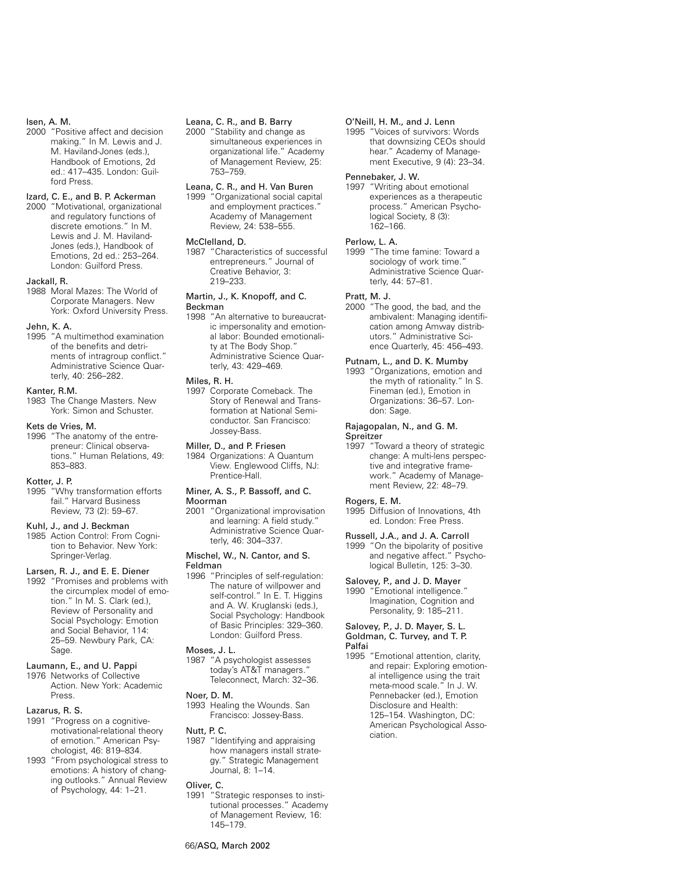### Isen, A. M.

2000 "Positive affect and decision making." In M. Lewis and J. M. Haviland-Jones (eds.), Handbook of Emotions, 2d ed.: 417–435. London: Guilford Press.

### Izard, C. E., and B. P. Ackerman

2000 "Motivational, organizational and regulatory functions of discrete emotions." In M. Lewis and J. M. Haviland-Jones (eds.), Handbook of Emotions, 2d ed.: 253–264. London: Guilford Press.

#### Jackall, R.

1988 Moral Mazes: The World of Corporate Managers. New York: Oxford University Press.

#### Jehn, K. A.

1995 "A multimethod examination of the benefits and detriments of intragroup conflict." Administrative Science Quarterly, 40: 256–282.

### Kanter, R.M.

1983 The Change Masters. New York: Simon and Schuster.

#### Kets de Vries, M.

1996 "The anatomy of the entrepreneur: Clinical observations." Human Relations, 49: 853–883.

### Kotter, J. P.

1995 "Why transformation efforts fail." Harvard Business Review, 73 (2): 59–67.

#### Kuhl, J., and J. Beckman

1985 Action Control: From Cognition to Behavior. New York: Springer-Verlag.

### Larsen, R. J., and E. E. Diener

1992 "Promises and problems with the circumplex model of emotion." In M. S. Clark (ed.), Review of Personality and Social Psychology: Emotion and Social Behavior, 114: 25–59. Newbury Park, CA: Sage

#### Laumann, E., and U. Pappi

1976 Networks of Collective Action. New York: Academic Press.

# Lazarus, R. S.

- 1991 "Progress on a cognitivemotivational-relational theory of emotion." American Psychologist, 46: 819–834.
- 1993 "From psychological stress to emotions: A history of changing outlooks." Annual Review of Psychology, 44: 1–21.

# Leana, C. R., and B. Barry

2000 "Stability and change as simultaneous experiences in organizational life." Academy of Management Review, 25: 753–759.

# Leana, C. R., and H. Van Buren

1999 "Organizational social capital and employment practices." Academy of Management Review, 24: 538–555.

# McClelland, D.

1987 "Characteristics of successful entrepreneurs." Journal of Creative Behavior, 3: 219–233.

### Martin, J., K. Knopoff, and C. Beckman

1998 "An alternative to bureaucratic impersonality and emotional labor: Bounded emotionality at The Body Shop." Administrative Science Quarterly, 43: 429–469.

#### Miles, R. H.

1997 Corporate Comeback. The Story of Renewal and Transformation at National Semiconductor. San Francisco: Jossey-Bass.

# Miller, D., and P. Friesen

1984 Organizations: A Quantum View. Englewood Cliffs, NJ: Prentice-Hall.

#### Miner, A. S., P. Bassoff, and C. Moorman

2001 "Organizational improvisation and learning: A field study." Administrative Science Quarterly, 46: 304–337.

#### Mischel, W., N. Cantor, and S. Feldman

1996 "Principles of self-regulation: The nature of willpower and self-control." In E. T. Higgins and A. W. Kruglanski (eds.), Social Psychology: Handbook of Basic Principles: 329–360. London: Guilford Press.

# Moses, J. L.

1987 "A psychologist assesses today's AT&T managers." Teleconnect, March: 32–36.

#### Noer, D. M.

1993 Healing the Wounds. San Francisco: Jossey-Bass.

# Nutt, P. C.

1987 "Identifying and appraising how managers install strategy." Strategic Management Journal, 8: 1–14.

#### Oliver, C.

1991 "Strategic responses to institutional processes." Academy of Management Review, 16: 145–179.

#### O'Neill, H. M., and J. Lenn

1995 "Voices of survivors: Words that downsizing CEOs should hear." Academy of Management Executive, 9 (4): 23–34.

#### Pennebaker, J. W.

1997 "Writing about emotional experiences as a therapeutic process." American Psychological Society, 8 (3): 162–166.

#### Perlow, L. A.

1999 "The time famine: Toward a sociology of work time.' Administrative Science Quarterly, 44: 57–81.

### Pratt, M. J.

2000 "The good, the bad, and the ambivalent: Managing identification among Amway distributors." Administrative Science Quarterly, 45: 456–493.

## Putnam, L., and D. K. Mumby

1993 "Organizations, emotion and the myth of rationality." In S. Fineman (ed.), Emotion in Organizations: 36–57. London: Sage.

#### Rajagopalan, N., and G. M. Spreitzer

1997 "Toward a theory of strategic change: A multi-lens perspective and integrative framework." Academy of Management Review, 22: 48–79.

#### Rogers, E. M.

1995 Diffusion of Innovations, 4th ed. London: Free Press.

#### Russell, J.A., and J. A. Carroll

1999 "On the bipolarity of positive and negative affect." Psychological Bulletin, 125: 3–30.

# Salovey, P., and J. D. Mayer

1990 "Emotional intelligence." Imagination, Cognition and Personality, 9: 185–211.

#### Salovey, P., J. D. Mayer, S. L. Goldman, C. Turvey, and T. P. Palfai

1995 "Emotional attention, clarity, and repair: Exploring emotional intelligence using the trait meta-mood scale." In J. W. Pennebacker (ed.), Emotion Disclosure and Health: 125–154. Washington, DC: American Psychological Association.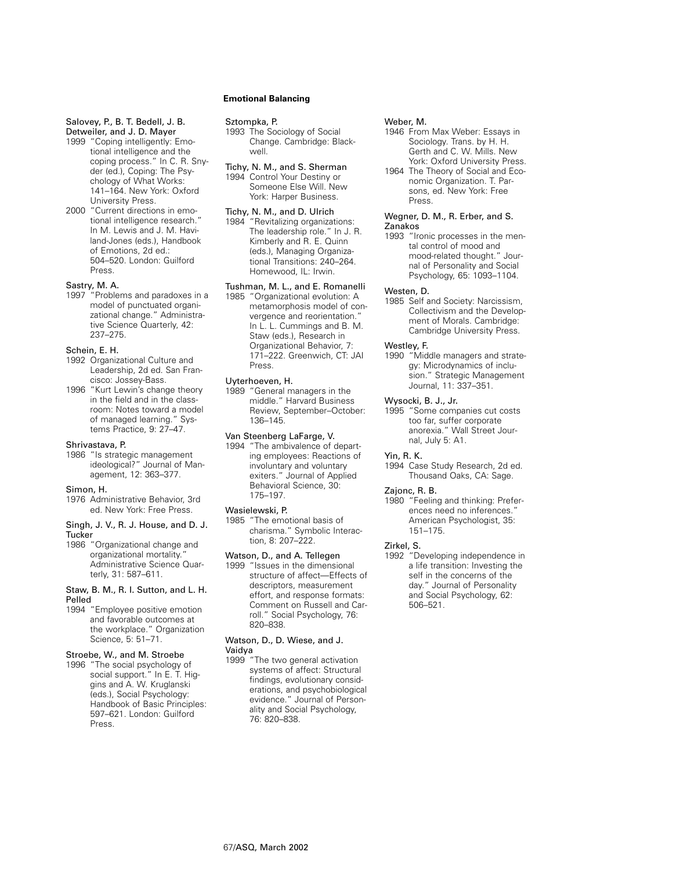# Salovey, P., B. T. Bedell, J. B.

Detweiler, and J. D. Mayer 1999 "Coping intelligently: Emo-

- tional intelligence and the coping process." In C. R. Snyder (ed.), Coping: The Psychology of What Works: 141–164. New York: Oxford University Press.
- 2000 "Current directions in emotional intelligence research." In M. Lewis and J. M. Haviland-Jones (eds.), Handbook of Emotions, 2d ed.: 504–520. London: Guilford Press.

### Sastry, M. A.

1997 "Problems and paradoxes in a model of punctuated organizational change." Administrative Science Quarterly, 42: 237–275.

# Schein, E. H.

- 1992 Organizational Culture and Leadership, 2d ed. San Francisco: Jossey-Bass.
- 1996 "Kurt Lewin's change theory in the field and in the classroom: Notes toward a model of managed learning." Systems Practice, 9: 27–47.

### Shrivastava, P.

1986 "Is strategic management ideological?" Journal of Management, 12: 363–377.

#### Simon, H.

1976 Administrative Behavior, 3rd ed. New York: Free Press.

#### Singh, J. V., R. J. House, and D. J. **Tucker**

1986 "Organizational change and organizational mortality." Administrative Science Quarterly, 31: 587–611.

#### Staw, B. M., R. I. Sutton, and L. H. Pelled

1994 "Employee positive emotion and favorable outcomes at the workplace." Organization Science, 5: 51–71.

# Stroebe, W., and M. Stroebe

1996 "The social psychology of social support." In E. T. Higgins and A. W. Kruglanski (eds.), Social Psychology: Handbook of Basic Principles: 597–621. London: Guilford Press.

# **Emotional Balancing**

#### Sztompka, P.

1993 The Sociology of Social Change. Cambridge: Blackwell.

# Tichy, N. M., and S. Sherman 1994 Control Your Destiny or

Someone Else Will. New York: Harper Business.

# Tichy, N. M., and D. Ulrich

1984 "Revitalizing organizations: The leadership role." In J. R. Kimberly and R. E. Quinn (eds.), Managing Organizational Transitions: 240–264. Homewood, IL: Irwin.

# Tushman, M. L., and E. Romanelli

1985 "Organizational evolution: A metamorphosis model of convergence and reorientation." In L. L. Cummings and B. M. Staw (eds.), Research in Organizational Behavior, 7: 171–222. Greenwich, CT: JAI Press.

#### Uyterhoeven, H.

1989 "General managers in the middle." Harvard Business Review, September–October: 136–145.

# Van Steenberg LaFarge, V.

1994 "The ambivalence of departing employees: Reactions of involuntary and voluntary exiters." Journal of Applied Behavioral Science, 30: 175–197.

#### Wasielewski, P.

1985 "The emotional basis of charisma." Symbolic Interaction, 8: 207–222.

### Watson, D., and A. Tellegen

1999 "Issues in the dimensional structure of affect—Effects of descriptors, measurement effort, and response formats: Comment on Russell and Carroll." Social Psychology, 76: 820–838.

# Watson, D., D. Wiese, and J.

# Vaidya

1999 "The two general activation systems of affect: Structural findings, evolutionary considerations, and psychobiological evidence." Journal of Personality and Social Psychology, 76: 820–838.

## Weber, M.

- 1946 From Max Weber: Essays in Sociology. Trans. by H. H. Gerth and C. W. Mills. New York: Oxford University Press.
- 1964 The Theory of Social and Economic Organization. T. Parsons, ed. New York: Free Press.

# Wegner, D. M., R. Erber, and S. Zanakos

1993 "Ironic processes in the mental control of mood and mood-related thought." Journal of Personality and Social Psychology, 65: 1093–1104.

# Westen, D.

1985 Self and Society: Narcissism, Collectivism and the Development of Morals. Cambridge: Cambridge University Press.

### Westley, F.

1990 "Middle managers and strategy: Microdynamics of inclusion." Strategic Management Journal, 11: 337–351.

### Wysocki, B. J., Jr.

1995 "Some companies cut costs too far, suffer corporate anorexia." Wall Street Journal, July 5: A1.

#### Yin, R. K.

1994 Case Study Research, 2d ed. Thousand Oaks, CA: Sage.

# Zajonc, R. B.

1980 "Feeling and thinking: Preferences need no inferences." American Psychologist, 35: 151–175.

# Zirkel, S.

1992 "Developing independence in a life transition: Investing the self in the concerns of the day." Journal of Personality and Social Psychology, 62: 506–521.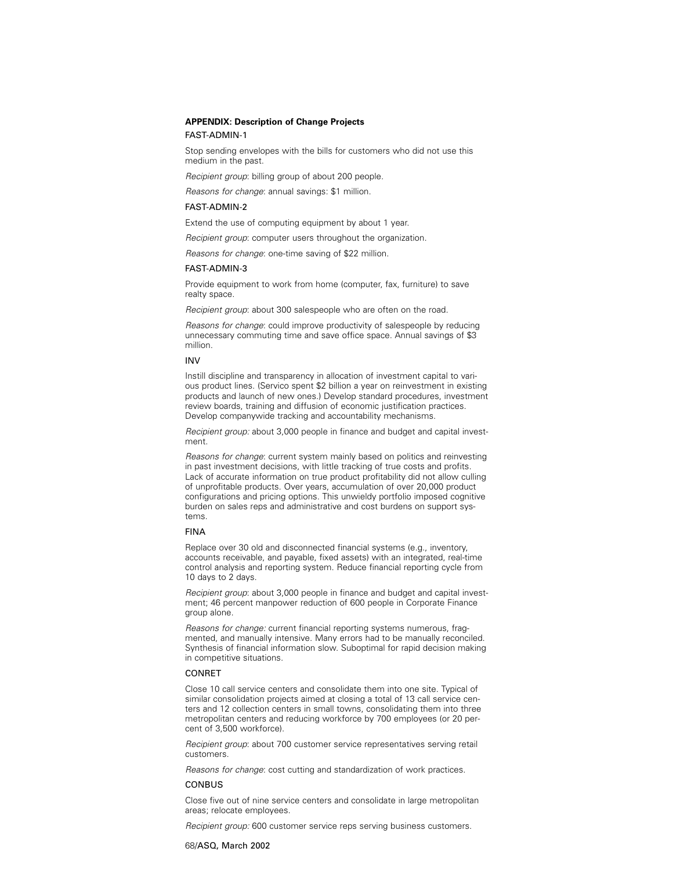# **APPENDIX: Description of Change Projects**

### FAST-ADMIN-1

Stop sending envelopes with the bills for customers who did not use this medium in the past.

Recipient group: billing group of about 200 people.

Reasons for change: annual savings: \$1 million.

## FAST-ADMIN-2

Extend the use of computing equipment by about 1 year.

Recipient group: computer users throughout the organization.

Reasons for change: one-time saving of \$22 million.

#### FAST-ADMIN-3

Provide equipment to work from home (computer, fax, furniture) to save realty space.

Recipient group: about 300 salespeople who are often on the road.

Reasons for change: could improve productivity of salespeople by reducing unnecessary commuting time and save office space. Annual savings of \$3 million.

#### INV

Instill discipline and transparency in allocation of investment capital to various product lines. (Servico spent \$2 billion a year on reinvestment in existing products and launch of new ones.) Develop standard procedures, investment review boards, training and diffusion of economic justification practices. Develop companywide tracking and accountability mechanisms.

Recipient group: about 3,000 people in finance and budget and capital investment.

Reasons for change: current system mainly based on politics and reinvesting in past investment decisions, with little tracking of true costs and profits. Lack of accurate information on true product profitability did not allow culling of unprofitable products. Over years, accumulation of over 20,000 product configurations and pricing options. This unwieldy portfolio imposed cognitive burden on sales reps and administrative and cost burdens on support systems.

### FINA

Replace over 30 old and disconnected financial systems (e.g., inventory, accounts receivable, and payable, fixed assets) with an integrated, real-time control analysis and reporting system. Reduce financial reporting cycle from 10 days to 2 days.

Recipient group: about 3,000 people in finance and budget and capital investment; 46 percent manpower reduction of 600 people in Corporate Finance group alone.

Reasons for change: current financial reporting systems numerous, fragmented, and manually intensive. Many errors had to be manually reconciled. Synthesis of financial information slow. Suboptimal for rapid decision making in competitive situations.

#### CONRET

Close 10 call service centers and consolidate them into one site. Typical of similar consolidation projects aimed at closing a total of 13 call service centers and 12 collection centers in small towns, consolidating them into three metropolitan centers and reducing workforce by 700 employees (or 20 percent of 3,500 workforce).

Recipient group: about 700 customer service representatives serving retail customers.

Reasons for change: cost cutting and standardization of work practices.

### CONBUS

Close five out of nine service centers and consolidate in large metropolitan areas; relocate employees.

Recipient group: 600 customer service reps serving business customers.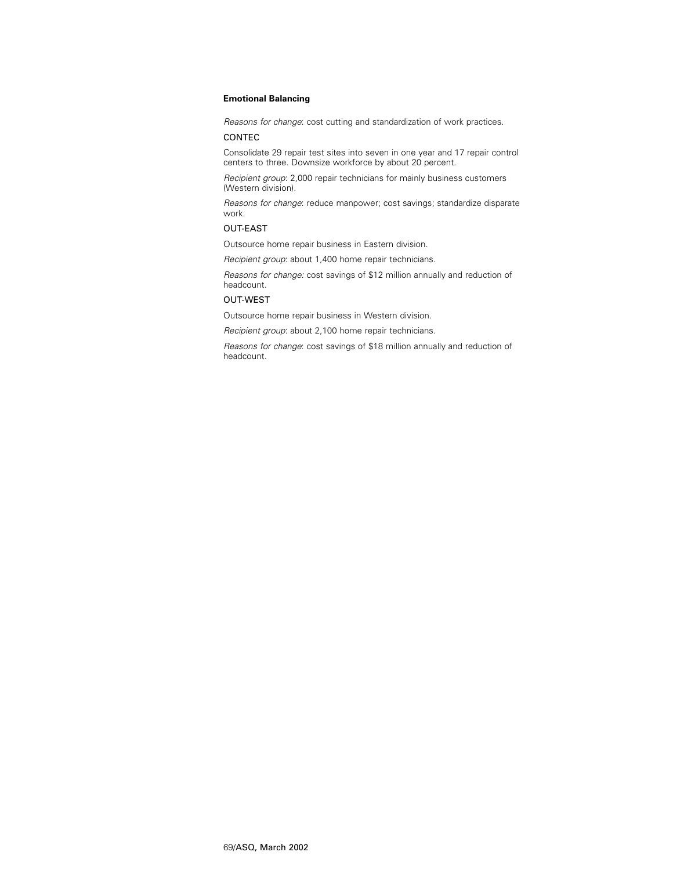Reasons for change: cost cutting and standardization of work practices.

## CONTEC

Consolidate 29 repair test sites into seven in one year and 17 repair control centers to three. Downsize workforce by about 20 percent.

Recipient group: 2,000 repair technicians for mainly business customers (Western division).

Reasons for change: reduce manpower; cost savings; standardize disparate work.

# OUT-EAST

Outsource home repair business in Eastern division.

Recipient group: about 1,400 home repair technicians.

Reasons for change: cost savings of \$12 million annually and reduction of headcount.

# OUT-WEST

Outsource home repair business in Western division.

Recipient group: about 2,100 home repair technicians.

Reasons for change: cost savings of \$18 million annually and reduction of headcount.